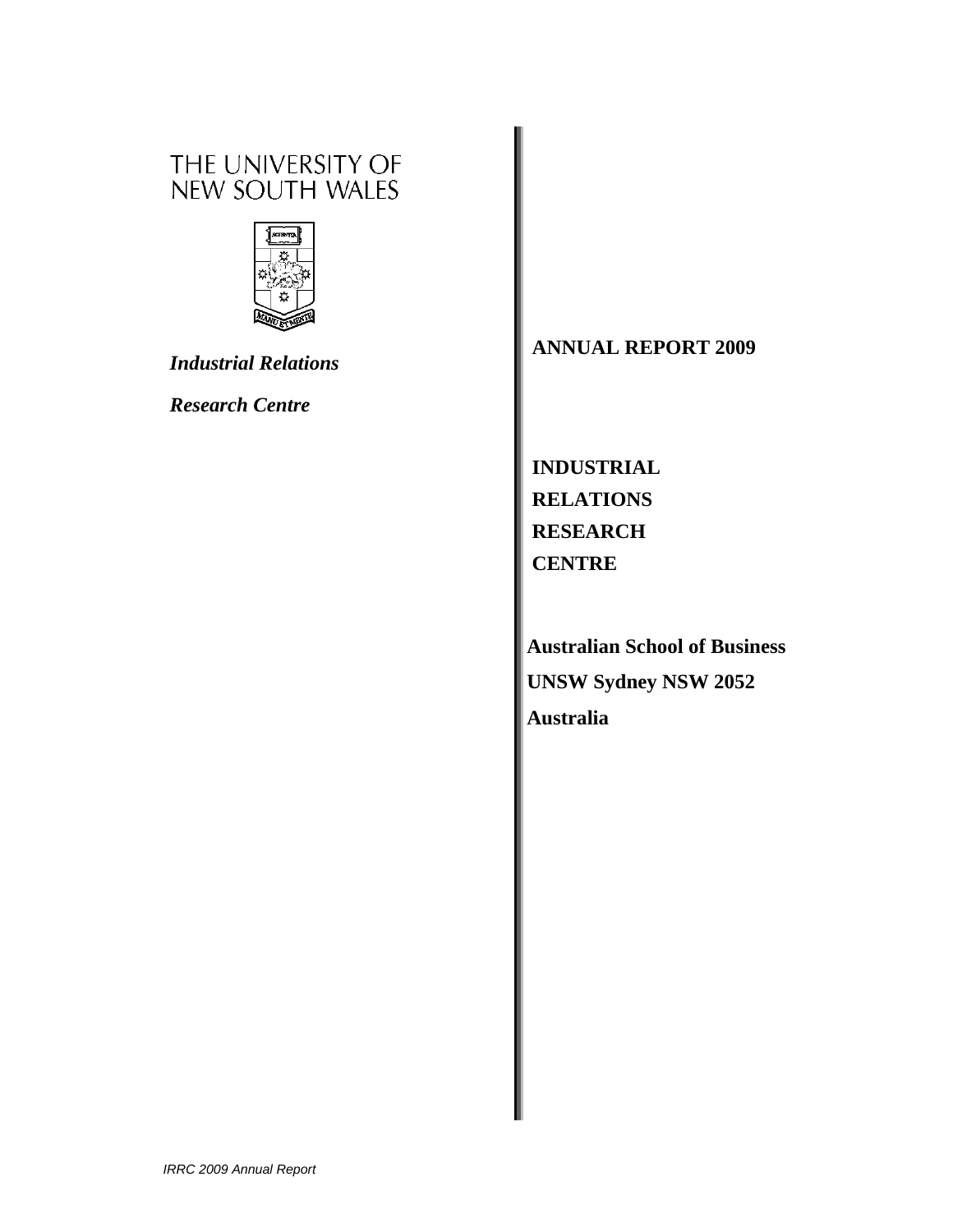# THE UNIVERSITY OF<br>NEW SOUTH WALES



*Industrial Relations* 

*Research Centre* 

# **ANNUAL REPORT 2009**

**INDUSTRIAL RELATIONS RESEARCH CENTRE** 

**Australian School of Business UNSW Sydney NSW 2052 Australia**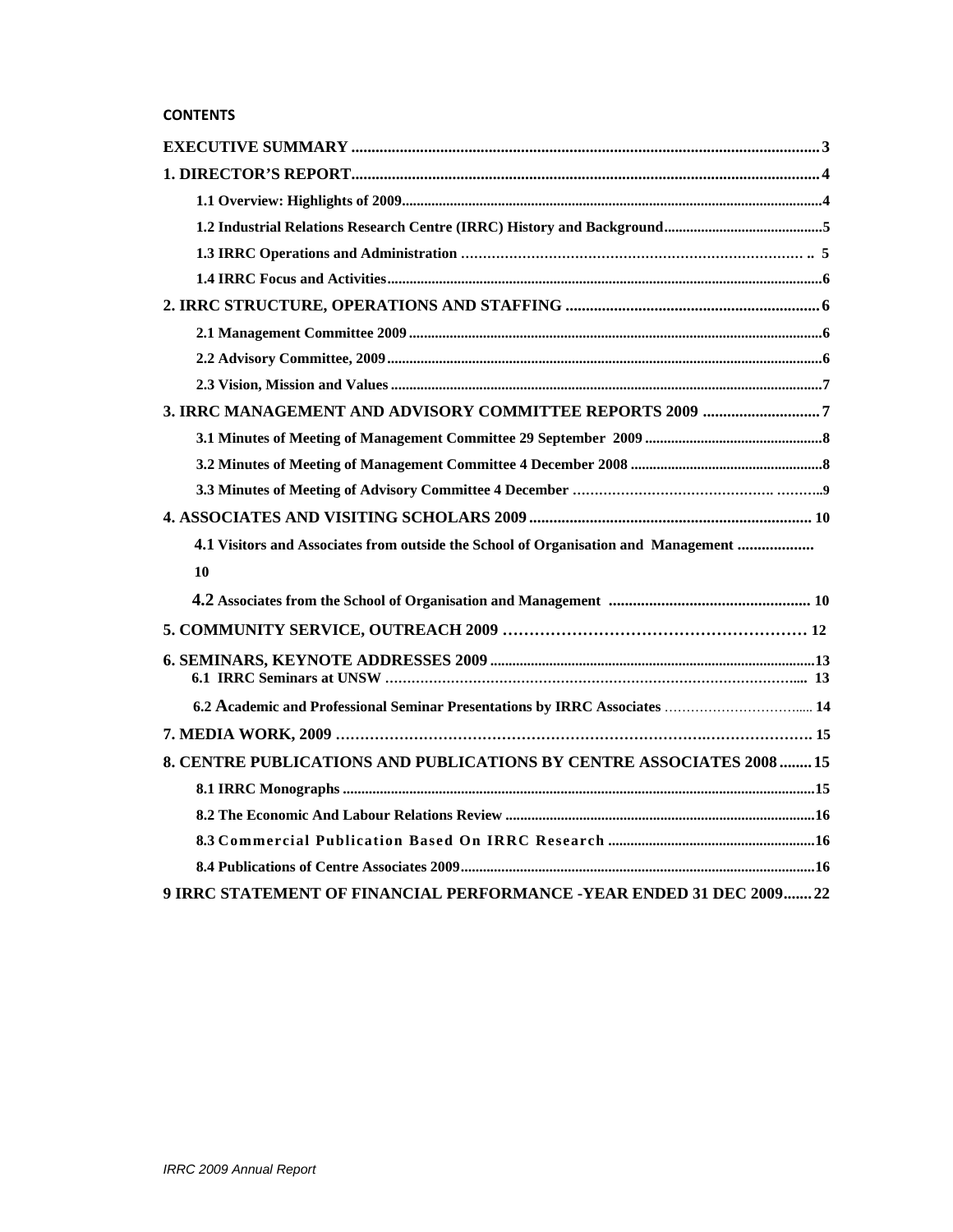| 3. IRRC MANAGEMENT AND ADVISORY COMMITTEE REPORTS 2009 7                           |
|------------------------------------------------------------------------------------|
|                                                                                    |
|                                                                                    |
|                                                                                    |
|                                                                                    |
| 4.1 Visitors and Associates from outside the School of Organisation and Management |
| 10                                                                                 |
|                                                                                    |
|                                                                                    |
|                                                                                    |
| 6.2 Academic and Professional Seminar Presentations by IRRC Associates  14         |
|                                                                                    |
| 8. CENTRE PUBLICATIONS AND PUBLICATIONS BY CENTRE ASSOCIATES 2008  15              |
|                                                                                    |
|                                                                                    |
|                                                                                    |
|                                                                                    |
| 9 IRRC STATEMENT OF FINANCIAL PERFORMANCE -YEAR ENDED 31 DEC 200922                |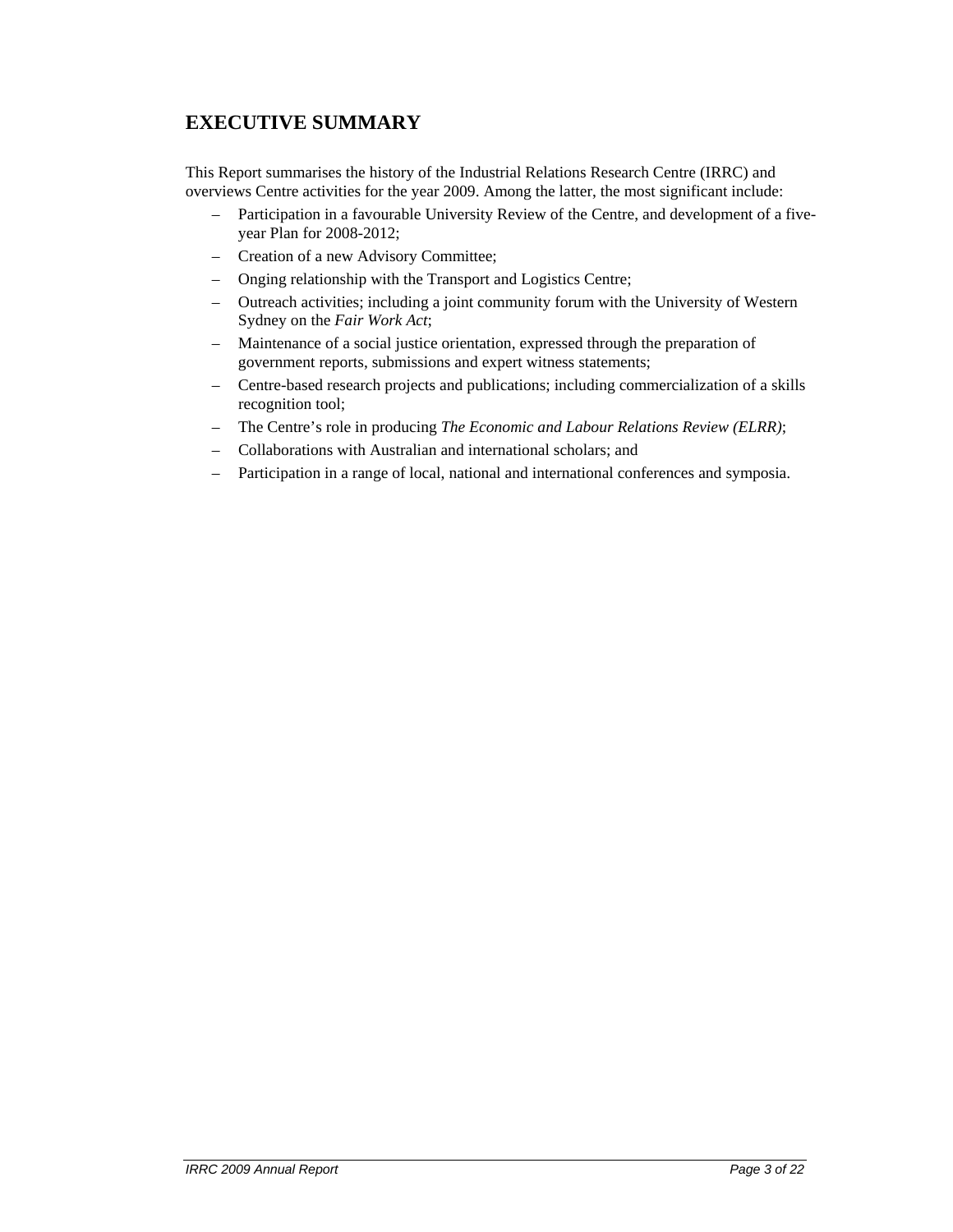# **EXECUTIVE SUMMARY**

This Report summarises the history of the Industrial Relations Research Centre (IRRC) and overviews Centre activities for the year 2009. Among the latter, the most significant include:

- Participation in a favourable University Review of the Centre, and development of a fiveyear Plan for 2008-2012;
- Creation of a new Advisory Committee;
- Onging relationship with the Transport and Logistics Centre;
- Outreach activities; including a joint community forum with the University of Western Sydney on the *Fair Work Act*;
- Maintenance of a social justice orientation, expressed through the preparation of government reports, submissions and expert witness statements;
- Centre-based research projects and publications; including commercialization of a skills recognition tool;
- The Centre's role in producing *The Economic and Labour Relations Review (ELRR)*;
- Collaborations with Australian and international scholars; and
- Participation in a range of local, national and international conferences and symposia.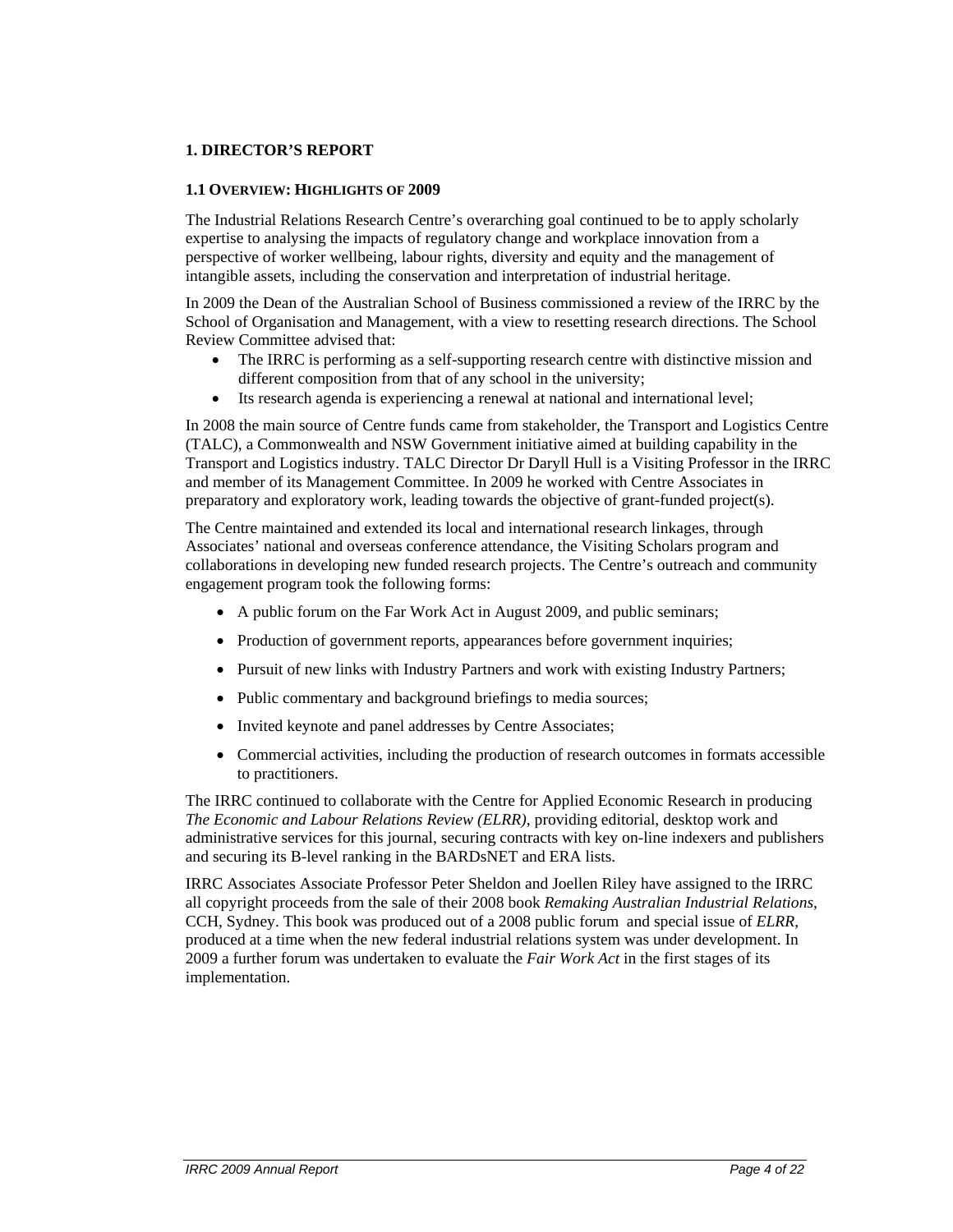# **1. DIRECTOR'S REPORT**

#### **1.1 OVERVIEW: HIGHLIGHTS OF 2009**

The Industrial Relations Research Centre's overarching goal continued to be to apply scholarly expertise to analysing the impacts of regulatory change and workplace innovation from a perspective of worker wellbeing, labour rights, diversity and equity and the management of intangible assets, including the conservation and interpretation of industrial heritage.

In 2009 the Dean of the Australian School of Business commissioned a review of the IRRC by the School of Organisation and Management, with a view to resetting research directions. The School Review Committee advised that:

- The IRRC is performing as a self-supporting research centre with distinctive mission and different composition from that of any school in the university;
- Its research agenda is experiencing a renewal at national and international level;

In 2008 the main source of Centre funds came from stakeholder, the Transport and Logistics Centre (TALC), a Commonwealth and NSW Government initiative aimed at building capability in the Transport and Logistics industry. TALC Director Dr Daryll Hull is a Visiting Professor in the IRRC and member of its Management Committee. In 2009 he worked with Centre Associates in preparatory and exploratory work, leading towards the objective of grant-funded project(s).

The Centre maintained and extended its local and international research linkages, through Associates' national and overseas conference attendance, the Visiting Scholars program and collaborations in developing new funded research projects. The Centre's outreach and community engagement program took the following forms:

- A public forum on the Far Work Act in August 2009, and public seminars;
- Production of government reports, appearances before government inquiries;
- Pursuit of new links with Industry Partners and work with existing Industry Partners;
- Public commentary and background briefings to media sources;
- Invited keynote and panel addresses by Centre Associates;
- Commercial activities, including the production of research outcomes in formats accessible to practitioners.

The IRRC continued to collaborate with the Centre for Applied Economic Research in producing *The Economic and Labour Relations Review (ELRR)*, providing editorial, desktop work and administrative services for this journal, securing contracts with key on-line indexers and publishers and securing its B-level ranking in the BARDsNET and ERA lists.

IRRC Associates Associate Professor Peter Sheldon and Joellen Riley have assigned to the IRRC all copyright proceeds from the sale of their 2008 book *Remaking Australian Industrial Relations*, CCH, Sydney. This book was produced out of a 2008 public forum and special issue of *ELRR*, produced at a time when the new federal industrial relations system was under development. In 2009 a further forum was undertaken to evaluate the *Fair Work Act* in the first stages of its implementation.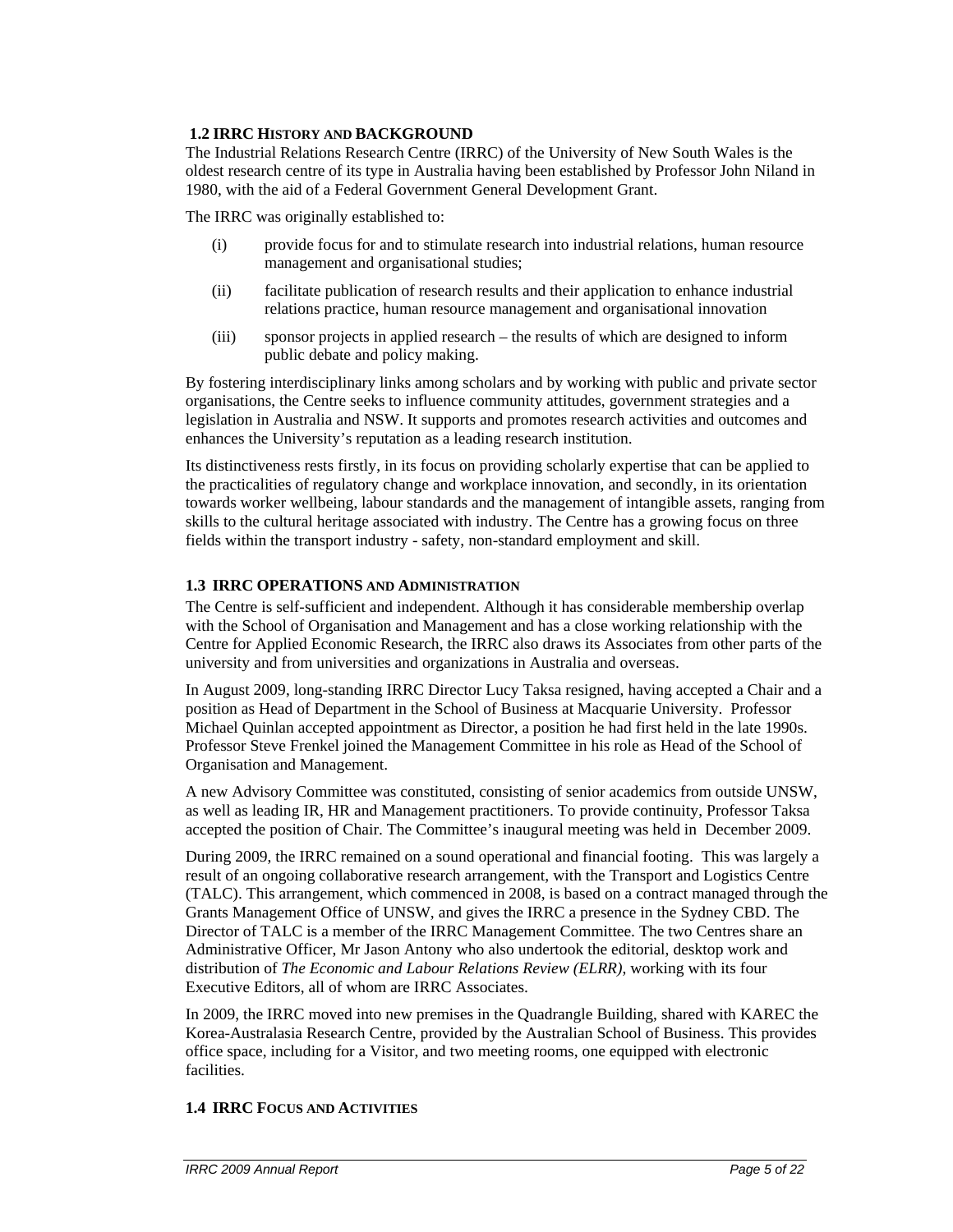# **1.2 IRRC HISTORY AND BACKGROUND**

The Industrial Relations Research Centre (IRRC) of the University of New South Wales is the oldest research centre of its type in Australia having been established by Professor John Niland in 1980, with the aid of a Federal Government General Development Grant.

The IRRC was originally established to:

- (i) provide focus for and to stimulate research into industrial relations, human resource management and organisational studies;
- (ii) facilitate publication of research results and their application to enhance industrial relations practice, human resource management and organisational innovation
- (iii) sponsor projects in applied research the results of which are designed to inform public debate and policy making.

By fostering interdisciplinary links among scholars and by working with public and private sector organisations, the Centre seeks to influence community attitudes, government strategies and a legislation in Australia and NSW. It supports and promotes research activities and outcomes and enhances the University's reputation as a leading research institution.

Its distinctiveness rests firstly, in its focus on providing scholarly expertise that can be applied to the practicalities of regulatory change and workplace innovation, and secondly, in its orientation towards worker wellbeing, labour standards and the management of intangible assets, ranging from skills to the cultural heritage associated with industry. The Centre has a growing focus on three fields within the transport industry - safety, non-standard employment and skill.

# **1.3 IRRC OPERATIONS AND ADMINISTRATION**

The Centre is self-sufficient and independent. Although it has considerable membership overlap with the School of Organisation and Management and has a close working relationship with the Centre for Applied Economic Research, the IRRC also draws its Associates from other parts of the university and from universities and organizations in Australia and overseas.

In August 2009, long-standing IRRC Director Lucy Taksa resigned, having accepted a Chair and a position as Head of Department in the School of Business at Macquarie University. Professor Michael Quinlan accepted appointment as Director, a position he had first held in the late 1990s. Professor Steve Frenkel joined the Management Committee in his role as Head of the School of Organisation and Management.

A new Advisory Committee was constituted, consisting of senior academics from outside UNSW, as well as leading IR, HR and Management practitioners. To provide continuity, Professor Taksa accepted the position of Chair. The Committee's inaugural meeting was held in December 2009.

During 2009, the IRRC remained on a sound operational and financial footing. This was largely a result of an ongoing collaborative research arrangement, with the Transport and Logistics Centre (TALC). This arrangement, which commenced in 2008, is based on a contract managed through the Grants Management Office of UNSW, and gives the IRRC a presence in the Sydney CBD. The Director of TALC is a member of the IRRC Management Committee. The two Centres share an Administrative Officer, Mr Jason Antony who also undertook the editorial, desktop work and distribution of *The Economic and Labour Relations Review (ELRR)*, working with its four Executive Editors, all of whom are IRRC Associates.

In 2009, the IRRC moved into new premises in the Quadrangle Building, shared with KAREC the Korea-Australasia Research Centre, provided by the Australian School of Business. This provides office space, including for a Visitor, and two meeting rooms, one equipped with electronic facilities.

# **1.4 IRRC FOCUS AND ACTIVITIES**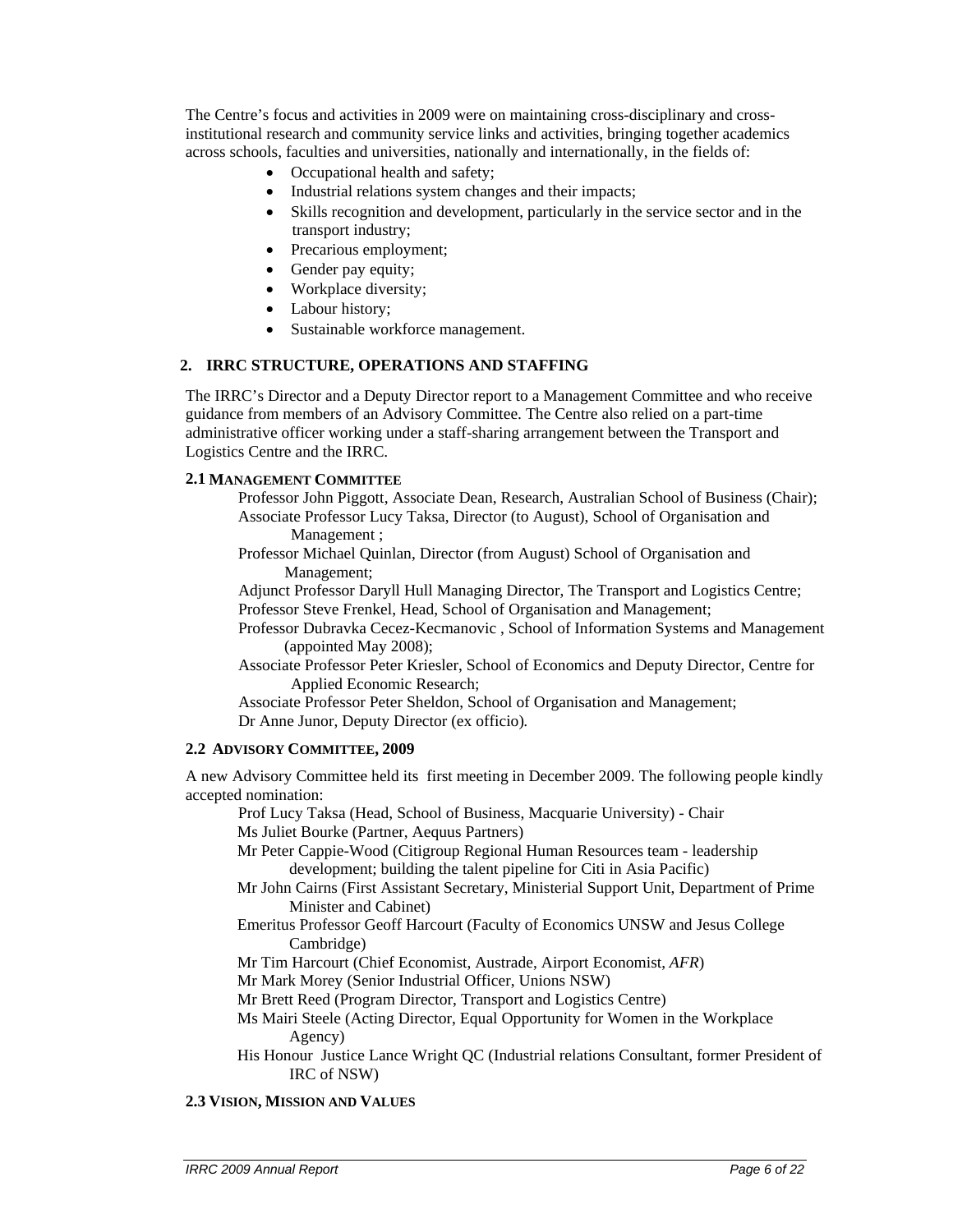The Centre's focus and activities in 2009 were on maintaining cross-disciplinary and crossinstitutional research and community service links and activities, bringing together academics across schools, faculties and universities, nationally and internationally, in the fields of:

- Occupational health and safety;
- Industrial relations system changes and their impacts;
- Skills recognition and development, particularly in the service sector and in the transport industry;
- Precarious employment;
- Gender pay equity;
- Workplace diversity;
- Labour history;
- Sustainable workforce management.

#### **2. IRRC STRUCTURE, OPERATIONS AND STAFFING**

The IRRC's Director and a Deputy Director report to a Management Committee and who receive guidance from members of an Advisory Committee. The Centre also relied on a part-time administrative officer working under a staff-sharing arrangement between the Transport and Logistics Centre and the IRRC.

#### **2.1 MANAGEMENT COMMITTEE**

- Professor John Piggott, Associate Dean, Research, Australian School of Business (Chair); Associate Professor Lucy Taksa, Director (to August), School of Organisation and Management ;
	-
- Professor Michael Quinlan, Director (from August) School of Organisation and Management;
- Adjunct Professor Daryll Hull Managing Director, The Transport and Logistics Centre; Professor Steve Frenkel, Head, School of Organisation and Management;
- Professor Dubravka Cecez-Kecmanovic , School of Information Systems and Management (appointed May 2008);
- Associate Professor Peter Kriesler, School of Economics and Deputy Director, Centre for Applied Economic Research;

Associate Professor Peter Sheldon, School of Organisation and Management; Dr Anne Junor, Deputy Director (ex officio)*.* 

#### **2.2 ADVISORY COMMITTEE, 2009**

A new Advisory Committee held its first meeting in December 2009. The following people kindly accepted nomination:

Prof Lucy Taksa (Head, School of Business, Macquarie University) - Chair Ms Juliet Bourke (Partner, Aequus Partners)

- Mr Peter Cappie-Wood (Citigroup Regional Human Resources team leadership development; building the talent pipeline for Citi in Asia Pacific)
- Mr John Cairns (First Assistant Secretary, Ministerial Support Unit, Department of Prime Minister and Cabinet)
- Emeritus Professor Geoff Harcourt (Faculty of Economics UNSW and Jesus College Cambridge)
- Mr Tim Harcourt (Chief Economist, Austrade, Airport Economist, *AFR*)
- Mr Mark Morey (Senior Industrial Officer, Unions NSW)
- Mr Brett Reed (Program Director, Transport and Logistics Centre)
- Ms Mairi Steele (Acting Director, Equal Opportunity for Women in the Workplace Agency)
- His Honour Justice Lance Wright QC (Industrial relations Consultant, former President of IRC of NSW)

## **2.3 VISION, MISSION AND VALUES**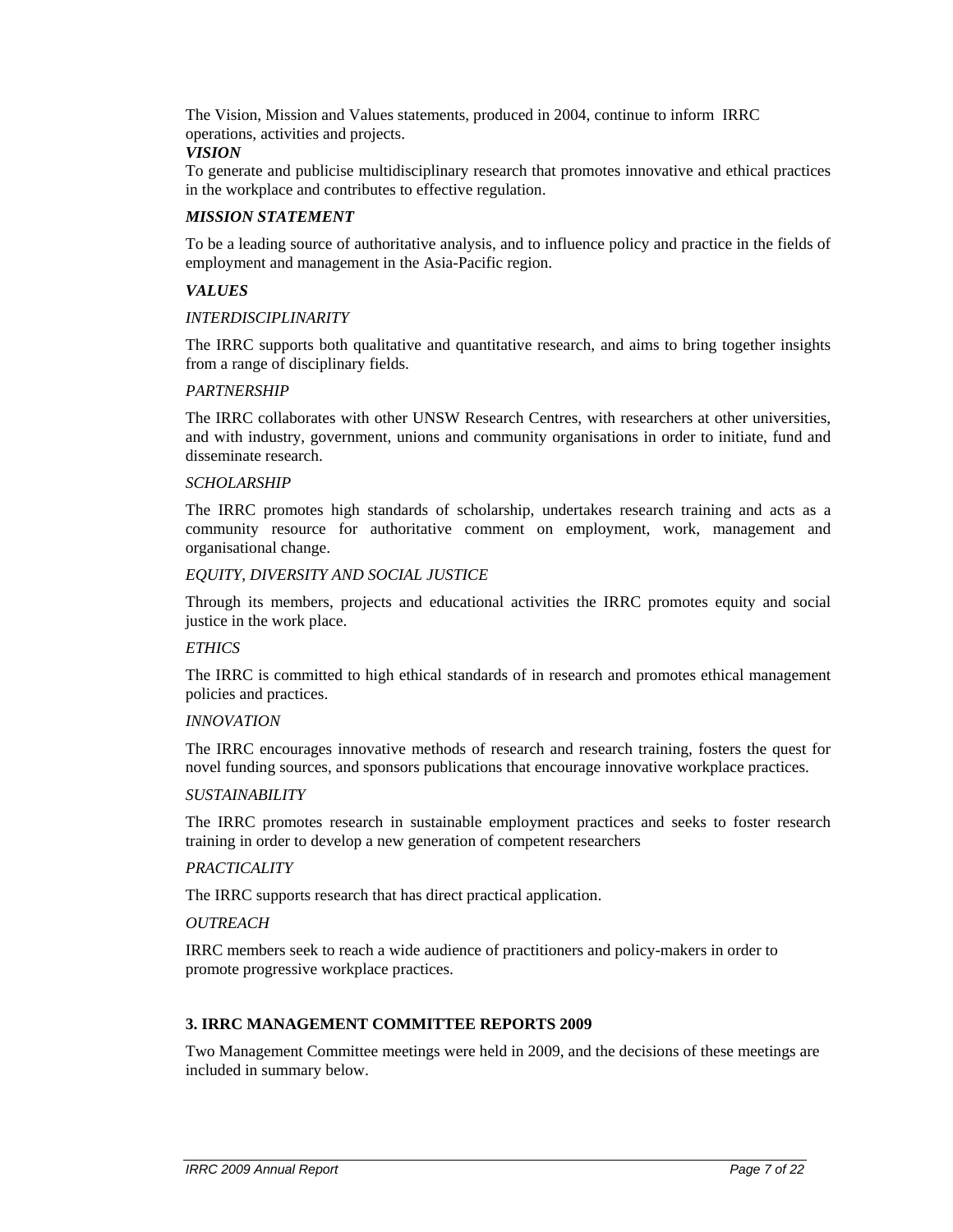The Vision, Mission and Values statements, produced in 2004, continue to inform IRRC operations, activities and projects.

#### *VISION*

To generate and publicise multidisciplinary research that promotes innovative and ethical practices in the workplace and contributes to effective regulation.

#### *MISSION STATEMENT*

To be a leading source of authoritative analysis, and to influence policy and practice in the fields of employment and management in the Asia-Pacific region.

### *VALUES*

#### *INTERDISCIPLINARITY*

The IRRC supports both qualitative and quantitative research, and aims to bring together insights from a range of disciplinary fields.

#### *PARTNERSHIP*

The IRRC collaborates with other UNSW Research Centres, with researchers at other universities, and with industry, government, unions and community organisations in order to initiate, fund and disseminate research.

#### *SCHOLARSHIP*

The IRRC promotes high standards of scholarship, undertakes research training and acts as a community resource for authoritative comment on employment, work, management and organisational change.

#### *EQUITY, DIVERSITY AND SOCIAL JUSTICE*

Through its members, projects and educational activities the IRRC promotes equity and social justice in the work place.

#### *ETHICS*

The IRRC is committed to high ethical standards of in research and promotes ethical management policies and practices.

#### *INNOVATION*

The IRRC encourages innovative methods of research and research training, fosters the quest for novel funding sources, and sponsors publications that encourage innovative workplace practices.

#### *SUSTAINABILITY*

The IRRC promotes research in sustainable employment practices and seeks to foster research training in order to develop a new generation of competent researchers

#### *PRACTICALITY*

The IRRC supports research that has direct practical application.

#### *OUTREACH*

IRRC members seek to reach a wide audience of practitioners and policy-makers in order to promote progressive workplace practices.

#### **3. IRRC MANAGEMENT COMMITTEE REPORTS 2009**

Two Management Committee meetings were held in 2009, and the decisions of these meetings are included in summary below.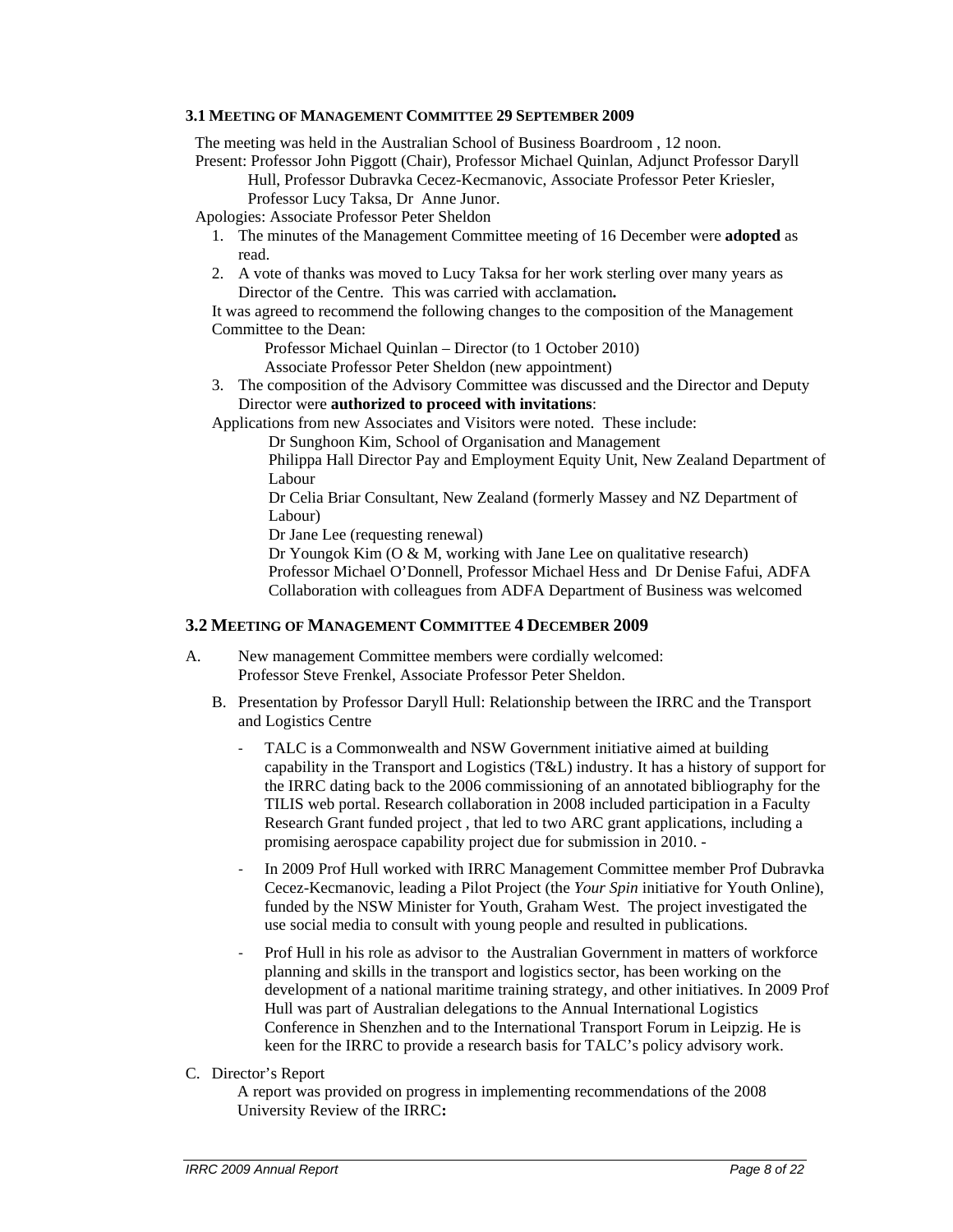#### **3.1 MEETING OF MANAGEMENT COMMITTEE 29 SEPTEMBER 2009**

The meeting was held in the Australian School of Business Boardroom , 12 noon.

Present: Professor John Piggott (Chair), Professor Michael Quinlan, Adjunct Professor Daryll Hull, Professor Dubravka Cecez-Kecmanovic, Associate Professor Peter Kriesler, Professor Lucy Taksa, Dr Anne Junor.

Apologies: Associate Professor Peter Sheldon

- 1. The minutes of the Management Committee meeting of 16 December were **adopted** as read.
- 2. A vote of thanks was moved to Lucy Taksa for her work sterling over many years as Director of the Centre. This was carried with acclamation**.**

It was agreed to recommend the following changes to the composition of the Management Committee to the Dean:

Professor Michael Quinlan – Director (to 1 October 2010)

Associate Professor Peter Sheldon (new appointment)

3. The composition of the Advisory Committee was discussed and the Director and Deputy Director were **authorized to proceed with invitations**:

Applications from new Associates and Visitors were noted. These include:

Dr Sunghoon Kim, School of Organisation and Management

Philippa Hall Director Pay and Employment Equity Unit, New Zealand Department of Labour

Dr Celia Briar Consultant, New Zealand (formerly Massey and NZ Department of Labour)

Dr Jane Lee (requesting renewal)

Dr Youngok Kim (O & M, working with Jane Lee on qualitative research) Professor Michael O'Donnell, Professor Michael Hess and Dr Denise Fafui, ADFA Collaboration with colleagues from ADFA Department of Business was welcomed

# **3.2 MEETING OF MANAGEMENT COMMITTEE 4 DECEMBER 2009**

- A. New management Committee members were cordially welcomed: Professor Steve Frenkel, Associate Professor Peter Sheldon.
	- B. Presentation by Professor Daryll Hull: Relationship between the IRRC and the Transport and Logistics Centre
		- TALC is a Commonwealth and NSW Government initiative aimed at building capability in the Transport and Logistics (T&L) industry. It has a history of support for the IRRC dating back to the 2006 commissioning of an annotated bibliography for the TILIS web portal. Research collaboration in 2008 included participation in a Faculty Research Grant funded project , that led to two ARC grant applications, including a promising aerospace capability project due for submission in 2010. -
		- ‐ In 2009 Prof Hull worked with IRRC Management Committee member Prof Dubravka Cecez-Kecmanovic, leading a Pilot Project (the *Your Spin* initiative for Youth Online), funded by the NSW Minister for Youth, Graham West. The project investigated the use social media to consult with young people and resulted in publications.
		- ‐ Prof Hull in his role as advisor to the Australian Government in matters of workforce planning and skills in the transport and logistics sector, has been working on the development of a national maritime training strategy, and other initiatives. In 2009 Prof Hull was part of Australian delegations to the Annual International Logistics Conference in Shenzhen and to the International Transport Forum in Leipzig. He is keen for the IRRC to provide a research basis for TALC's policy advisory work.
- C. Director's Report

A report was provided on progress in implementing recommendations of the 2008 University Review of the IRRC**:**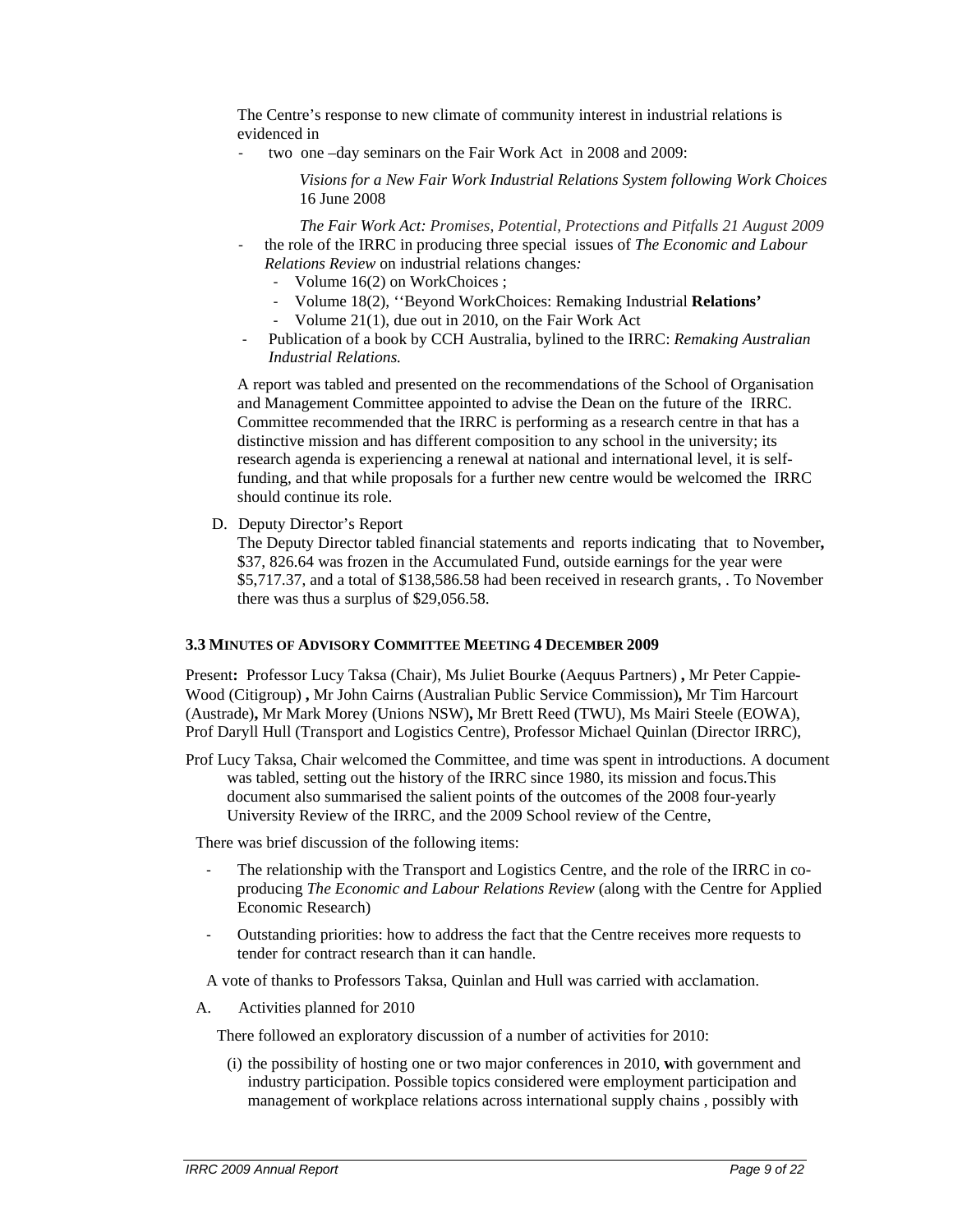The Centre's response to new climate of community interest in industrial relations is evidenced in

‐ two one –day seminars on the Fair Work Act in 2008 and 2009:

*Visions for a New Fair Work Industrial Relations System following Work Choices* 16 June 2008

- *The Fair Work Act: Promises, Potential, Protections and Pitfalls 21 August 2009* ‐ the role of the IRRC in producing three special issues of *The Economic and Labour Relations Review* on industrial relations changes*:* 
	- ‐ Volume 16(2) on WorkChoices ;
	- ‐ Volume 18(2), ''Beyond WorkChoices: Remaking Industrial **Relations'**
	- ‐ Volume 21(1), due out in 2010, on the Fair Work Act
- ‐ Publication of a book by CCH Australia, bylined to the IRRC: *Remaking Australian Industrial Relations.*

A report was tabled and presented on the recommendations of the School of Organisation and Management Committee appointed to advise the Dean on the future of the IRRC. Committee recommended that the IRRC is performing as a research centre in that has a distinctive mission and has different composition to any school in the university; its research agenda is experiencing a renewal at national and international level, it is selffunding, and that while proposals for a further new centre would be welcomed the IRRC should continue its role.

D. Deputy Director's Report

The Deputy Director tabled financial statements and reports indicating that to November**,**  \$37, 826.64 was frozen in the Accumulated Fund, outside earnings for the year were \$5,717.37, and a total of \$138,586.58 had been received in research grants, . To November there was thus a surplus of \$29,056.58.

#### **3.3 MINUTES OF ADVISORY COMMITTEE MEETING 4 DECEMBER 2009**

Present**:** Professor Lucy Taksa (Chair), Ms Juliet Bourke (Aequus Partners) **,** Mr Peter Cappie-Wood (Citigroup) **,** Mr John Cairns (Australian Public Service Commission)**,** Mr Tim Harcourt (Austrade)**,** Mr Mark Morey (Unions NSW)**,** Mr Brett Reed (TWU), Ms Mairi Steele (EOWA), Prof Daryll Hull (Transport and Logistics Centre), Professor Michael Quinlan (Director IRRC),

Prof Lucy Taksa, Chair welcomed the Committee, and time was spent in introductions. A document was tabled, setting out the history of the IRRC since 1980, its mission and focus.This document also summarised the salient points of the outcomes of the 2008 four-yearly University Review of the IRRC, and the 2009 School review of the Centre,

There was brief discussion of the following items:

- The relationship with the Transport and Logistics Centre, and the role of the IRRC in coproducing *The Economic and Labour Relations Review* (along with the Centre for Applied Economic Research)
- Outstanding priorities: how to address the fact that the Centre receives more requests to tender for contract research than it can handle.

A vote of thanks to Professors Taksa, Quinlan and Hull was carried with acclamation.

A. Activities planned for 2010

There followed an exploratory discussion of a number of activities for 2010:

(i) the possibility of hosting one or two major conferences in 2010, **w**ith government and industry participation. Possible topics considered were employment participation and management of workplace relations across international supply chains , possibly with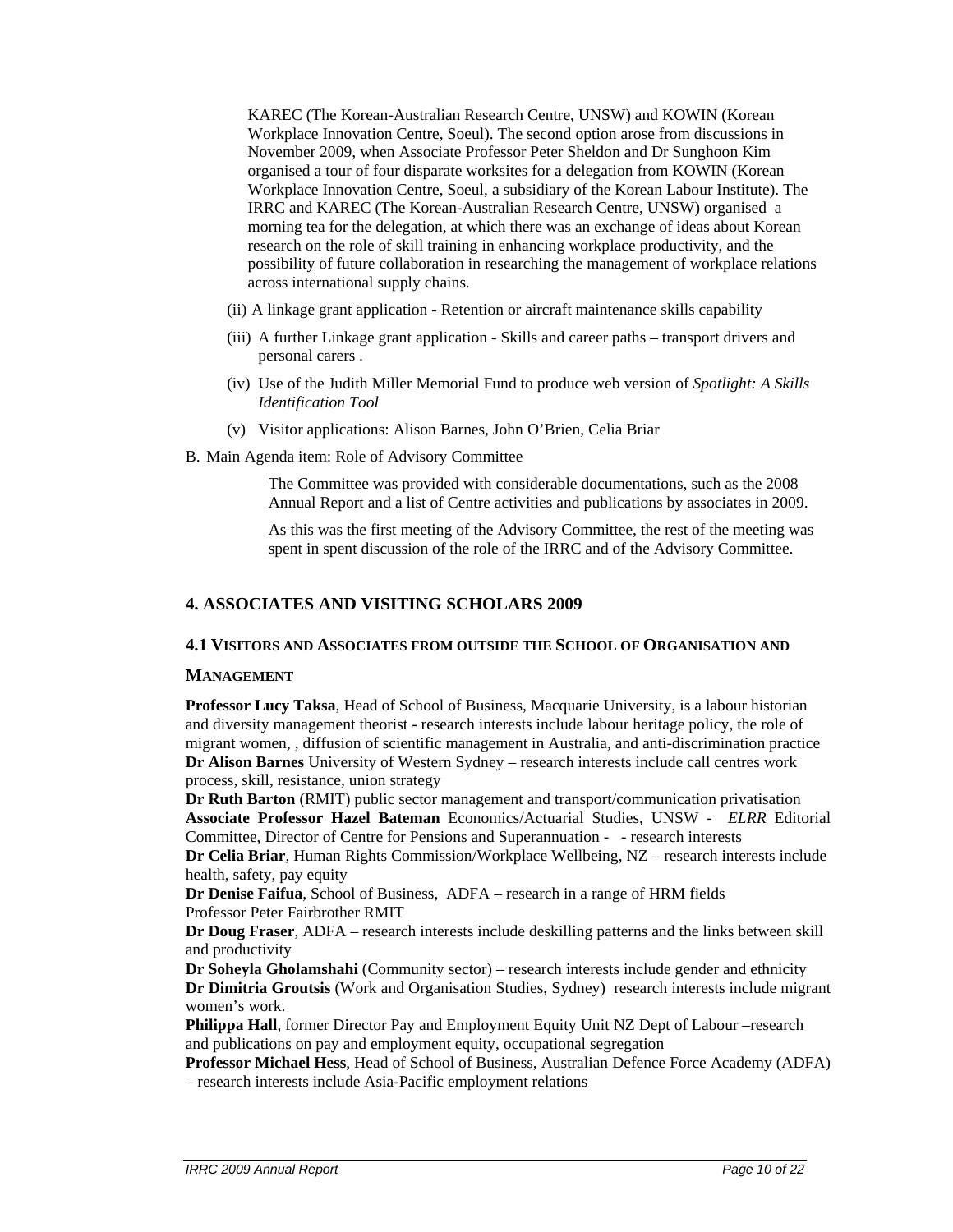KAREC (The Korean-Australian Research Centre, UNSW) and KOWIN (Korean Workplace Innovation Centre, Soeul). The second option arose from discussions in November 2009, when Associate Professor Peter Sheldon and Dr Sunghoon Kim organised a tour of four disparate worksites for a delegation from KOWIN (Korean Workplace Innovation Centre, Soeul, a subsidiary of the Korean Labour Institute). The IRRC and KAREC (The Korean-Australian Research Centre, UNSW) organised a morning tea for the delegation, at which there was an exchange of ideas about Korean research on the role of skill training in enhancing workplace productivity, and the possibility of future collaboration in researching the management of workplace relations across international supply chains.

- (ii) A linkage grant application Retention or aircraft maintenance skills capability
- (iii) A further Linkage grant application Skills and career paths transport drivers and personal carers .
- (iv) Use of the Judith Miller Memorial Fund to produce web version of *Spotlight: A Skills Identification Tool*
- (v) Visitor applications: Alison Barnes, John O'Brien, Celia Briar
- B. Main Agenda item: Role of Advisory Committee

The Committee was provided with considerable documentations, such as the 2008 Annual Report and a list of Centre activities and publications by associates in 2009.

As this was the first meeting of the Advisory Committee, the rest of the meeting was spent in spent discussion of the role of the IRRC and of the Advisory Committee.

# **4. ASSOCIATES AND VISITING SCHOLARS 2009**

#### **4.1 VISITORS AND ASSOCIATES FROM OUTSIDE THE SCHOOL OF ORGANISATION AND**

#### **MANAGEMENT**

**Professor Lucy Taksa**, Head of School of Business, Macquarie University, is a labour historian and diversity management theorist - research interests include labour heritage policy, the role of migrant women, , diffusion of scientific management in Australia, and anti-discrimination practice **Dr Alison Barnes** University of Western Sydney – research interests include call centres work process, skill, resistance, union strategy

**Dr Ruth Barton** (RMIT) public sector management and transport/communication privatisation **Associate Professor Hazel Bateman** Economics/Actuarial Studies, UNSW - *ELRR* Editorial Committee, Director of Centre for Pensions and Superannuation - - research interests

**Dr Celia Briar**, Human Rights Commission/Workplace Wellbeing, NZ – research interests include health, safety, pay equity

**Dr Denise Faifua**, School of Business, ADFA – research in a range of HRM fields Professor Peter Fairbrother RMIT

**Dr Doug Fraser**, ADFA – research interests include deskilling patterns and the links between skill and productivity

**Dr Soheyla Gholamshahi** (Community sector) – research interests include gender and ethnicity **Dr Dimitria Groutsis** (Work and Organisation Studies, Sydney) research interests include migrant women's work.

**Philippa Hall**, former Director Pay and Employment Equity Unit NZ Dept of Labour –research and publications on pay and employment equity, occupational segregation

**Professor Michael Hess**, Head of School of Business, Australian Defence Force Academy (ADFA) – research interests include Asia-Pacific employment relations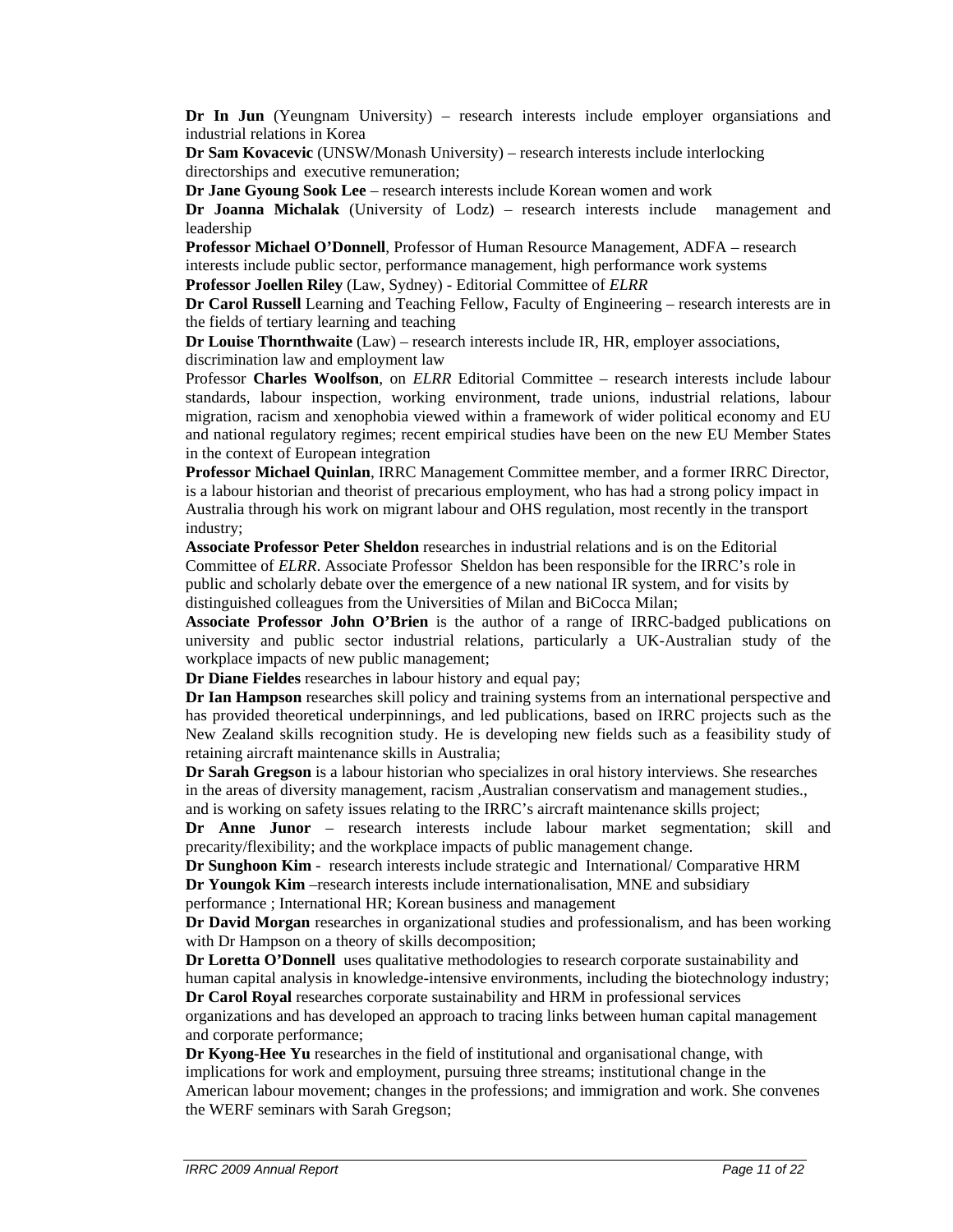**Dr In Jun** (Yeungnam University) – research interests include employer organsiations and industrial relations in Korea

**Dr Sam Kovacevic** (UNSW/Monash University) – research interests include interlocking directorships and executive remuneration;

**Dr Jane Gyoung Sook Lee** – research interests include Korean women and work **Dr Joanna Michalak** (University of Lodz) – research interests include management and leadership

**Professor Michael O'Donnell**, Professor of Human Resource Management, ADFA – research interests include public sector, performance management, high performance work systems **Professor Joellen Riley** (Law, Sydney) - Editorial Committee of *ELRR*

**Dr Carol Russell** Learning and Teaching Fellow, Faculty of Engineering – research interests are in the fields of tertiary learning and teaching

**Dr Louise Thornthwaite** (Law) – research interests include IR, HR, employer associations, discrimination law and employment law

Professor **Charles Woolfson**, on *ELRR* Editorial Committee – research interests include labour standards, labour inspection, working environment, trade unions, industrial relations, labour migration, racism and xenophobia viewed within a framework of wider political economy and EU and national regulatory regimes; recent empirical studies have been on the new EU Member States in the context of European integration

**Professor Michael Quinlan**, IRRC Management Committee member, and a former IRRC Director, is a labour historian and theorist of precarious employment, who has had a strong policy impact in Australia through his work on migrant labour and OHS regulation, most recently in the transport industry;

**Associate Professor Peter Sheldon** researches in industrial relations and is on the Editorial Committee of *ELRR*. Associate Professor Sheldon has been responsible for the IRRC's role in public and scholarly debate over the emergence of a new national IR system, and for visits by distinguished colleagues from the Universities of Milan and BiCocca Milan;

**Associate Professor John O'Brien** is the author of a range of IRRC-badged publications on university and public sector industrial relations, particularly a UK-Australian study of the workplace impacts of new public management;

**Dr Diane Fieldes** researches in labour history and equal pay;

**Dr Ian Hampson** researches skill policy and training systems from an international perspective and has provided theoretical underpinnings, and led publications, based on IRRC projects such as the New Zealand skills recognition study. He is developing new fields such as a feasibility study of retaining aircraft maintenance skills in Australia;

**Dr Sarah Gregson** is a labour historian who specializes in oral history interviews. She researches in the areas of diversity management, racism ,Australian conservatism and management studies., and is working on safety issues relating to the IRRC's aircraft maintenance skills project;

**Dr Anne Junor** – research interests include labour market segmentation; skill and precarity/flexibility; and the workplace impacts of public management change.

**Dr Sunghoon Kim** - research interests include strategic and International/ Comparative HRM **Dr Youngok Kim** –research interests include internationalisation, MNE and subsidiary performance ; International HR; Korean business and management

**Dr David Morgan** researches in organizational studies and professionalism, and has been working with Dr Hampson on a theory of skills decomposition;

**Dr Loretta O'Donnell** uses qualitative methodologies to research corporate sustainability and human capital analysis in knowledge-intensive environments, including the biotechnology industry; **Dr Carol Royal** researches corporate sustainability and HRM in professional services

organizations and has developed an approach to tracing links between human capital management and corporate performance;

**Dr Kyong-Hee Yu** researches in the field of institutional and organisational change, with implications for work and employment, pursuing three streams; institutional change in the American labour movement; changes in the professions; and immigration and work. She convenes the WERF seminars with Sarah Gregson;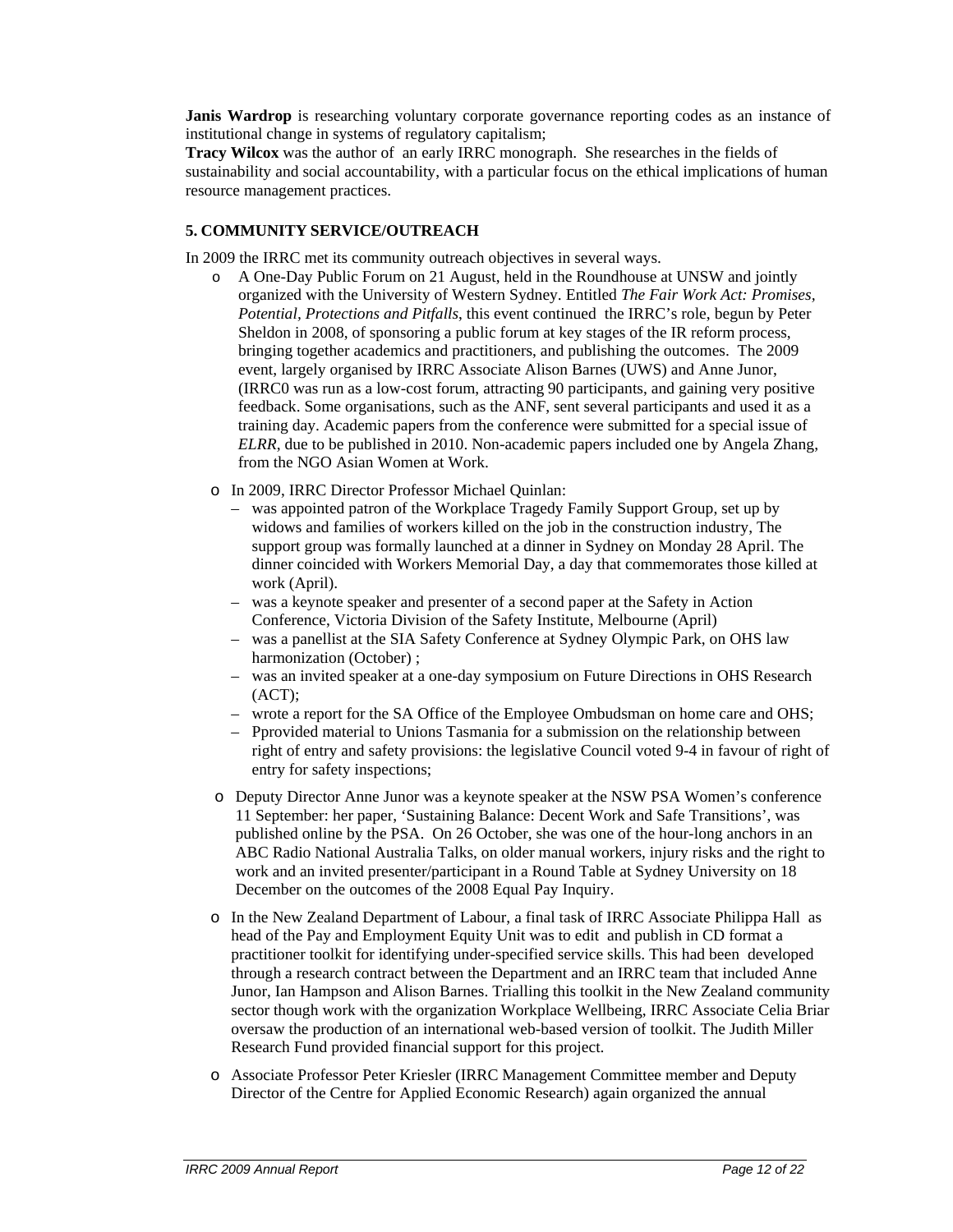**Janis Wardrop** is researching voluntary corporate governance reporting codes as an instance of institutional change in systems of regulatory capitalism;

**Tracy Wilcox** was the author of an early IRRC monograph. She researches in the fields of sustainability and social accountability, with a particular focus on the ethical implications of human resource management practices.

# **5. COMMUNITY SERVICE/OUTREACH**

In 2009 the IRRC met its community outreach objectives in several ways.

- o A One-Day Public Forum on 21 August, held in the Roundhouse at UNSW and jointly organized with the University of Western Sydney. Entitled *The Fair Work Act: Promises, Potential, Protections and Pitfalls*, this event continued the IRRC's role, begun by Peter Sheldon in 2008, of sponsoring a public forum at key stages of the IR reform process, bringing together academics and practitioners, and publishing the outcomes. The 2009 event, largely organised by IRRC Associate Alison Barnes (UWS) and Anne Junor, (IRRC0 was run as a low-cost forum, attracting 90 participants, and gaining very positive feedback. Some organisations, such as the ANF, sent several participants and used it as a training day. Academic papers from the conference were submitted for a special issue of *ELRR*, due to be published in 2010. Non-academic papers included one by Angela Zhang, from the NGO Asian Women at Work.
- o In 2009, IRRC Director Professor Michael Quinlan:
	- was appointed patron of the Workplace Tragedy Family Support Group, set up by widows and families of workers killed on the job in the construction industry, The support group was formally launched at a dinner in Sydney on Monday 28 April. The dinner coincided with Workers Memorial Day, a day that commemorates those killed at work (April).
	- was a keynote speaker and presenter of a second paper at the Safety in Action Conference, Victoria Division of the Safety Institute, Melbourne (April)
	- was a panellist at the SIA Safety Conference at Sydney Olympic Park, on OHS law harmonization (October) ;
	- was an invited speaker at a one-day symposium on Future Directions in OHS Research (ACT);
	- wrote a report for the SA Office of the Employee Ombudsman on home care and OHS;
	- Pprovided material to Unions Tasmania for a submission on the relationship between right of entry and safety provisions: the legislative Council voted 9-4 in favour of right of entry for safety inspections;
- o Deputy Director Anne Junor was a keynote speaker at the NSW PSA Women's conference 11 September: her paper, 'Sustaining Balance: Decent Work and Safe Transitions', was published online by the PSA. On 26 October, she was one of the hour-long anchors in an ABC Radio National Australia Talks, on older manual workers, injury risks and the right to work and an invited presenter/participant in a Round Table at Sydney University on 18 December on the outcomes of the 2008 Equal Pay Inquiry.
- o In the New Zealand Department of Labour, a final task of IRRC Associate Philippa Hall as head of the Pay and Employment Equity Unit was to edit and publish in CD format a practitioner toolkit for identifying under-specified service skills. This had been developed through a research contract between the Department and an IRRC team that included Anne Junor, Ian Hampson and Alison Barnes. Trialling this toolkit in the New Zealand community sector though work with the organization Workplace Wellbeing, IRRC Associate Celia Briar oversaw the production of an international web-based version of toolkit. The Judith Miller Research Fund provided financial support for this project.
- o Associate Professor Peter Kriesler (IRRC Management Committee member and Deputy Director of the Centre for Applied Economic Research) again organized the annual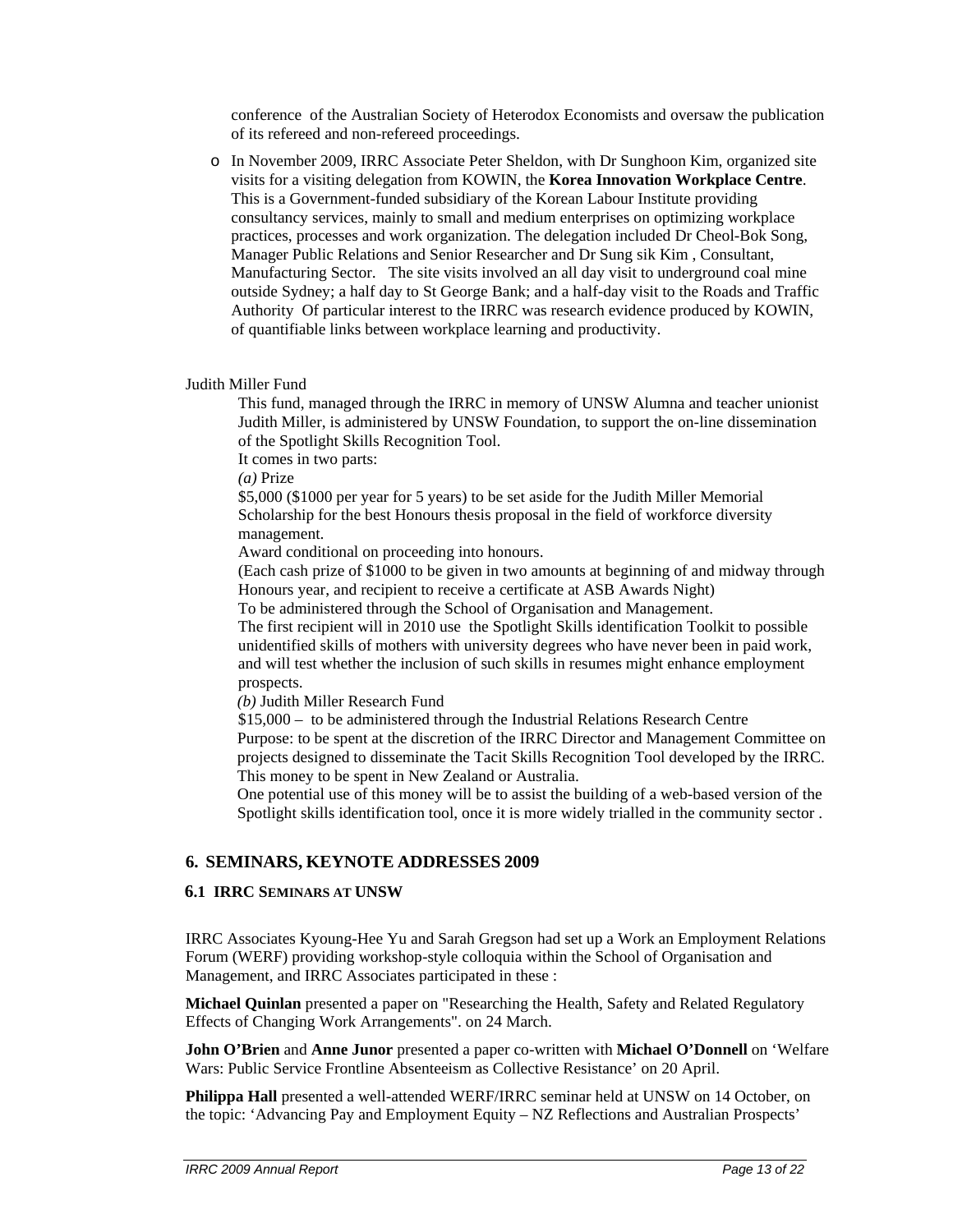conference of the Australian Society of Heterodox Economists and oversaw the publication of its refereed and non-refereed proceedings.

o In November 2009, IRRC Associate Peter Sheldon, with Dr Sunghoon Kim, organized site visits for a visiting delegation from KOWIN, the **Korea Innovation Workplace Centre**. This is a Government-funded subsidiary of the Korean Labour Institute providing consultancy services, mainly to small and medium enterprises on optimizing workplace practices, processes and work organization. The delegation included Dr Cheol-Bok Song, Manager Public Relations and Senior Researcher and Dr Sung sik Kim , Consultant, Manufacturing Sector. The site visits involved an all day visit to underground coal mine outside Sydney; a half day to St George Bank; and a half-day visit to the Roads and Traffic Authority Of particular interest to the IRRC was research evidence produced by KOWIN, of quantifiable links between workplace learning and productivity.

#### Judith Miller Fund

This fund, managed through the IRRC in memory of UNSW Alumna and teacher unionist Judith Miller, is administered by UNSW Foundation, to support the on-line dissemination of the Spotlight Skills Recognition Tool.

It comes in two parts:

*(a)* Prize

\$5,000 (\$1000 per year for 5 years) to be set aside for the Judith Miller Memorial Scholarship for the best Honours thesis proposal in the field of workforce diversity management.

Award conditional on proceeding into honours.

(Each cash prize of \$1000 to be given in two amounts at beginning of and midway through Honours year, and recipient to receive a certificate at ASB Awards Night)

To be administered through the School of Organisation and Management.

The first recipient will in 2010 use the Spotlight Skills identification Toolkit to possible unidentified skills of mothers with university degrees who have never been in paid work, and will test whether the inclusion of such skills in resumes might enhance employment prospects.

*(b)* Judith Miller Research Fund

\$15,000 – to be administered through the Industrial Relations Research Centre Purpose: to be spent at the discretion of the IRRC Director and Management Committee on projects designed to disseminate the Tacit Skills Recognition Tool developed by the IRRC. This money to be spent in New Zealand or Australia.

One potential use of this money will be to assist the building of a web-based version of the Spotlight skills identification tool, once it is more widely trialled in the community sector .

# **6. SEMINARS, KEYNOTE ADDRESSES 2009**

#### **6.1 IRRC SEMINARS AT UNSW**

IRRC Associates Kyoung-Hee Yu and Sarah Gregson had set up a Work an Employment Relations Forum (WERF) providing workshop-style colloquia within the School of Organisation and Management, and IRRC Associates participated in these :

**Michael Quinlan** presented a paper on "Researching the Health, Safety and Related Regulatory Effects of Changing Work Arrangements". on 24 March.

**John O'Brien** and **Anne Junor** presented a paper co-written with **Michael O'Donnell** on 'Welfare Wars: Public Service Frontline Absenteeism as Collective Resistance' on 20 April.

**Philippa Hall** presented a well-attended WERF/IRRC seminar held at UNSW on 14 October, on the topic: 'Advancing Pay and Employment Equity – NZ Reflections and Australian Prospects'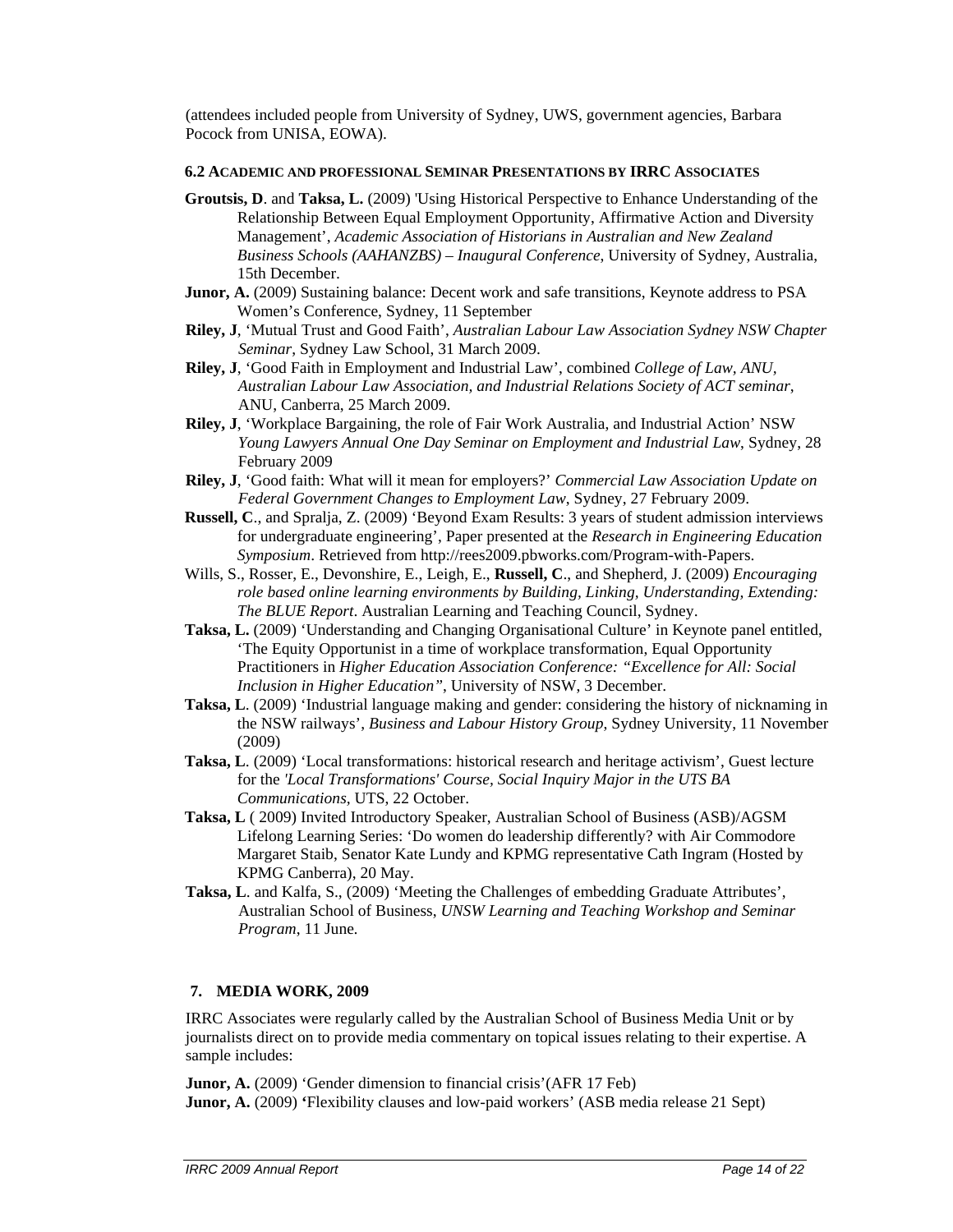(attendees included people from University of Sydney, UWS, government agencies, Barbara Pocock from UNISA, EOWA).

#### **6.2 ACADEMIC AND PROFESSIONAL SEMINAR PRESENTATIONS BY IRRC ASSOCIATES**

- **Groutsis, D**. and **Taksa, L.** (2009) 'Using Historical Perspective to Enhance Understanding of the Relationship Between Equal Employment Opportunity, Affirmative Action and Diversity Management', *Academic Association of Historians in Australian and New Zealand Business Schools (AAHANZBS) – Inaugural Conference*, University of Sydney, Australia, 15th December.
- **Junor, A.** (2009) Sustaining balance: Decent work and safe transitions, Keynote address to PSA Women's Conference, Sydney, 11 September
- **Riley, J**, 'Mutual Trust and Good Faith', *Australian Labour Law Association Sydney NSW Chapter Seminar*, Sydney Law School, 31 March 2009.
- **Riley, J**, 'Good Faith in Employment and Industrial Law', combined *College of Law, ANU, Australian Labour Law Association, and Industrial Relations Society of ACT seminar*, ANU, Canberra, 25 March 2009.
- **Riley, J**, 'Workplace Bargaining, the role of Fair Work Australia, and Industrial Action' NSW *Young Lawyers Annual One Day Seminar on Employment and Industrial Law*, Sydney, 28 February 2009
- **Riley, J**, 'Good faith: What will it mean for employers?' *Commercial Law Association Update on Federal Government Changes to Employment Law*, Sydney, 27 February 2009.
- **Russell, C**., and Spralja, Z. (2009) 'Beyond Exam Results: 3 years of student admission interviews for undergraduate engineering', Paper presented at the *Research in Engineering Education Symposium*. Retrieved from http://rees2009.pbworks.com/Program-with-Papers.
- Wills, S., Rosser, E., Devonshire, E., Leigh, E., **Russell, C**., and Shepherd, J. (2009) *Encouraging role based online learning environments by Building, Linking, Understanding, Extending: The BLUE Report*. Australian Learning and Teaching Council, Sydney.
- **Taksa, L.** (2009) 'Understanding and Changing Organisational Culture' in Keynote panel entitled, 'The Equity Opportunist in a time of workplace transformation, Equal Opportunity Practitioners in *Higher Education Association Conference: "Excellence for All: Social Inclusion in Higher Education"*, University of NSW, 3 December.
- **Taksa, L**. (2009) 'Industrial language making and gender: considering the history of nicknaming in the NSW railways', *Business and Labour History Group*, Sydney University, 11 November (2009)
- **Taksa, L**. (2009) 'Local transformations: historical research and heritage activism', Guest lecture for the *'Local Transformations' Course, Social Inquiry Major in the UTS BA Communications,* UTS, 22 October.
- **Taksa, L** ( 2009) Invited Introductory Speaker, Australian School of Business (ASB)/AGSM Lifelong Learning Series: 'Do women do leadership differently? with Air Commodore Margaret Staib, Senator Kate Lundy and KPMG representative Cath Ingram (Hosted by KPMG Canberra), 20 May.
- **Taksa, L**. and Kalfa, S., (2009) 'Meeting the Challenges of embedding Graduate Attributes', Australian School of Business, *UNSW Learning and Teaching Workshop and Seminar Program*, 11 June*.*

#### **7. MEDIA WORK, 2009**

IRRC Associates were regularly called by the Australian School of Business Media Unit or by journalists direct on to provide media commentary on topical issues relating to their expertise. A sample includes:

**Junor, A.** (2009) 'Gender dimension to financial crisis' (AFR 17 Feb) **Junor, A.** (2009) **'**Flexibility clauses and low-paid workers' (ASB media release 21 Sept)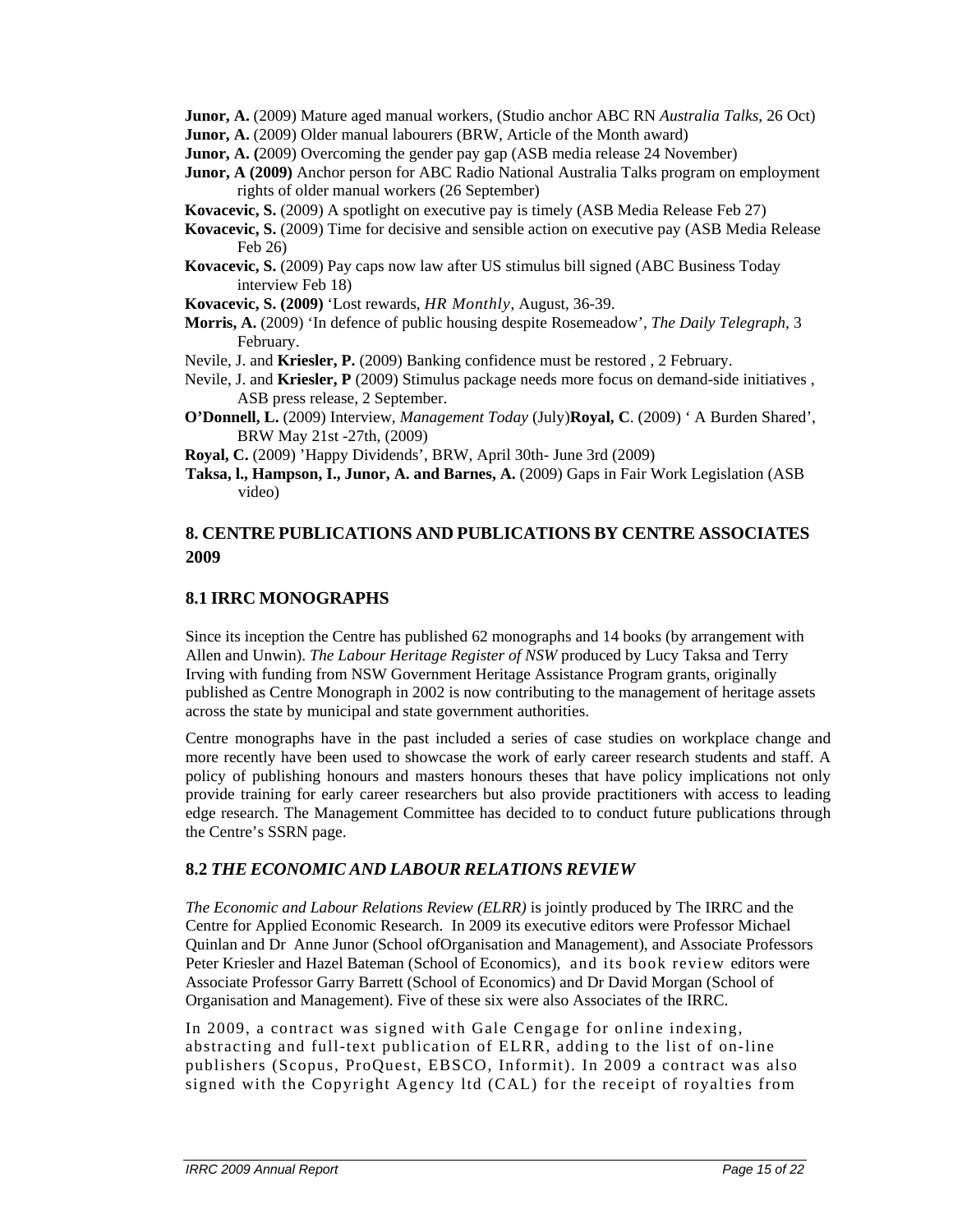**Junor, A.** (2009) Mature aged manual workers, (Studio anchor ABC RN *Australia Talks*, 26 Oct)

- **Junor, A.** (2009) Older manual labourers (BRW, Article of the Month award)
- **Junor, A. (**2009) Overcoming the gender pay gap (ASB media release 24 November)
- **Junor, A (2009)** Anchor person for ABC Radio National Australia Talks program on employment rights of older manual workers (26 September)
- **Kovacevic, S.** (2009) A spotlight on executive pay is timely (ASB Media Release Feb 27)
- **Kovacevic, S.** (2009) Time for decisive and sensible action on executive pay (ASB Media Release Feb 26)
- **Kovacevic, S.** (2009) Pay caps now law after US stimulus bill signed (ABC Business Today interview Feb 18)
- **Kovacevic, S. (2009)** 'Lost rewards, *HR Monthly*, August, 36-39.
- **Morris, A.** (2009) 'In defence of public housing despite Rosemeadow', *The Daily Telegraph*, 3 February.
- Nevile, J. and **Kriesler, P.** (2009) Banking confidence must be restored , 2 February.
- Nevile, J. and **Kriesler, P** (2009) Stimulus package needs more focus on demand-side initiatives , ASB press release, 2 September.
- **O'Donnell, L.** (2009) Interview, *Management Today* (July)**Royal, C**. (2009) ' A Burden Shared', BRW May 21st -27th, (2009)
- **Royal, C.** (2009) 'Happy Dividends', BRW, April 30th- June 3rd (2009)
- **Taksa, l., Hampson, I., Junor, A. and Barnes, A.** (2009) Gaps in Fair Work Legislation (ASB video)

# **8. CENTRE PUBLICATIONS AND PUBLICATIONS BY CENTRE ASSOCIATES 2009**

# **8.1 IRRC MONOGRAPHS**

Since its inception the Centre has published 62 monographs and 14 books (by arrangement with Allen and Unwin). *The Labour Heritage Register of NSW* produced by Lucy Taksa and Terry Irving with funding from NSW Government Heritage Assistance Program grants, originally published as Centre Monograph in 2002 is now contributing to the management of heritage assets across the state by municipal and state government authorities.

Centre monographs have in the past included a series of case studies on workplace change and more recently have been used to showcase the work of early career research students and staff. A policy of publishing honours and masters honours theses that have policy implications not only provide training for early career researchers but also provide practitioners with access to leading edge research. The Management Committee has decided to to conduct future publications through the Centre's SSRN page.

# **8.2** *THE ECONOMIC AND LABOUR RELATIONS REVIEW*

*The Economic and Labour Relations Review (ELRR)* is jointly produced by The IRRC and the Centre for Applied Economic Research. In 2009 its executive editors were Professor Michael Quinlan and Dr Anne Junor (School ofOrganisation and Management), and Associate Professors Peter Kriesler and Hazel Bateman (School of Economics), and its book review editors were Associate Professor Garry Barrett (School of Economics) and Dr David Morgan (School of Organisation and Management). Five of these six were also Associates of the IRRC.

In 2009, a contract was signed with Gale Cengage for online indexing, abstracting and full-text publication of ELRR, adding to the list of on-line publishers (Scopus, ProQuest, EBSCO, Informit). In 2009 a contract was also signed with the Copyright Agency ltd (CAL) for the receipt of royalties from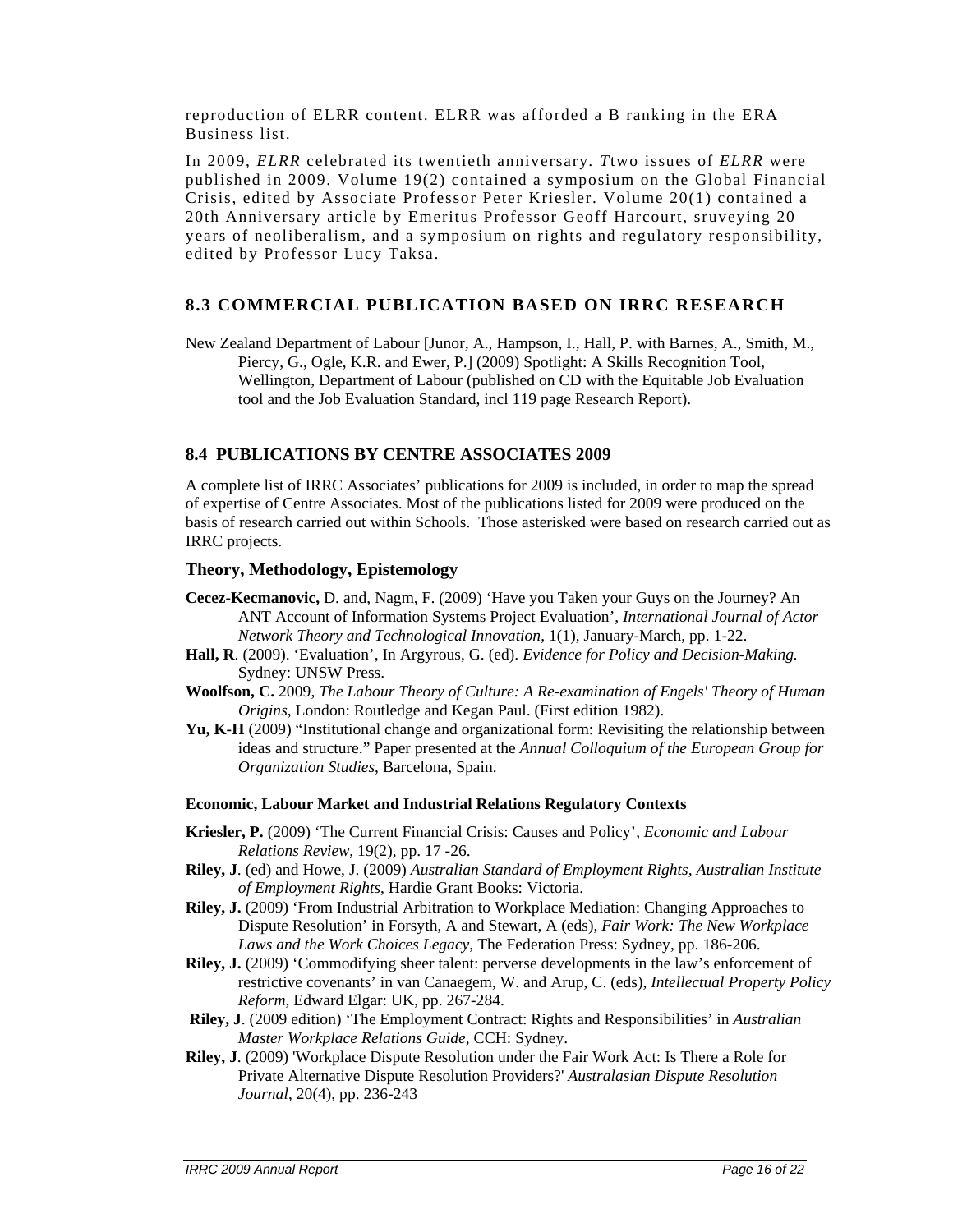reproduction of ELRR content. ELRR was afforded a B ranking in the ERA Business list.

In 2009, *ELRR* celebrated its twentieth anniversary*. T*two issues of *ELRR* were published in 2009. Volume 19(2) contained a symposium on the Global Financial Crisis, edited by Associate Professor Peter Kriesler. Volume 20(1) contained a 20th Anniversary article by Emeritus Professor Geoff Harcourt, sruveying 20 years of neoliberalism, and a symposium on rights and regulatory responsibility, edited by Professor Lucy Taksa.

# **8.3 COMMERCIAL PUBLICATION BASED ON IRRC RESEARCH**

New Zealand Department of Labour [Junor, A., Hampson, I., Hall, P. with Barnes, A., Smith, M., Piercy, G., Ogle, K.R. and Ewer, P.] (2009) Spotlight: A Skills Recognition Tool, Wellington, Department of Labour (published on CD with the Equitable Job Evaluation tool and the Job Evaluation Standard, incl 119 page Research Report).

# **8.4 PUBLICATIONS BY CENTRE ASSOCIATES 2009**

A complete list of IRRC Associates' publications for 2009 is included, in order to map the spread of expertise of Centre Associates. Most of the publications listed for 2009 were produced on the basis of research carried out within Schools. Those asterisked were based on research carried out as IRRC projects.

# **Theory, Methodology, Epistemology**

- **Cecez-Kecmanovic,** D. and, Nagm, F. (2009) 'Have you Taken your Guys on the Journey? An ANT Account of Information Systems Project Evaluation', *International Journal of Actor Network Theory and Technological Innovation*, 1(1), January-March, pp. 1-22.
- **Hall, R**. (2009). 'Evaluation', In Argyrous, G. (ed). *Evidence for Policy and Decision-Making.*  Sydney: UNSW Press.
- **Woolfson, C.** 2009, *The Labour Theory of Culture: A Re-examination of Engels' Theory of Human Origins*, London: Routledge and Kegan Paul. (First edition 1982).
- **Yu, K-H** (2009) "Institutional change and organizational form: Revisiting the relationship between ideas and structure." Paper presented at the *Annual Colloquium of the European Group for Organization Studies*, Barcelona, Spain.

#### **Economic, Labour Market and Industrial Relations Regulatory Contexts**

- **Kriesler, P.** (2009) 'The Current Financial Crisis: Causes and Policy', *Economic and Labour Relations Review*, 19(2), pp. 17 -26.
- **Riley, J**. (ed) and Howe, J. (2009) *Australian Standard of Employment Rights, Australian Institute of Employment Rights*, Hardie Grant Books: Victoria.
- **Riley, J.** (2009) 'From Industrial Arbitration to Workplace Mediation: Changing Approaches to Dispute Resolution' in Forsyth, A and Stewart, A (eds), *Fair Work: The New Workplace Laws and the Work Choices Legacy*, The Federation Press: Sydney, pp. 186-206.
- **Riley, J.** (2009) 'Commodifying sheer talent: perverse developments in the law's enforcement of restrictive covenants' in van Canaegem, W. and Arup, C. (eds), *Intellectual Property Policy Reform,* Edward Elgar: UK, pp. 267-284.
- **Riley, J**. (2009 edition) 'The Employment Contract: Rights and Responsibilities' in *Australian Master Workplace Relations Guide*, CCH: Sydney.
- **Riley, J**. (2009) 'Workplace Dispute Resolution under the Fair Work Act: Is There a Role for Private Alternative Dispute Resolution Providers?' *Australasian Dispute Resolution Journal*, 20(4), pp. 236-243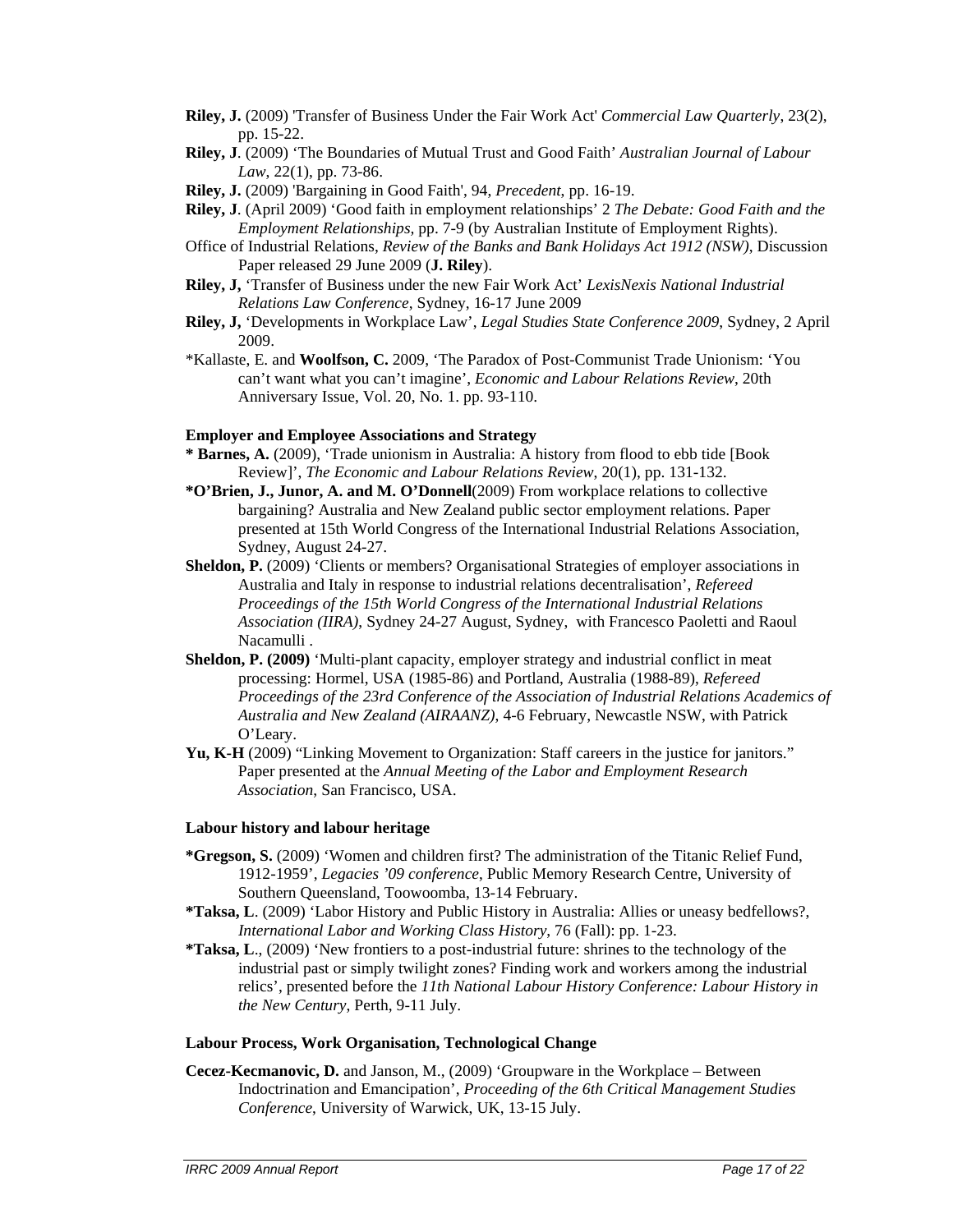- **Riley, J.** (2009) 'Transfer of Business Under the Fair Work Act' *Commercial Law Quarterly*, 23(2), pp. 15-22.
- **Riley, J**. (2009) 'The Boundaries of Mutual Trust and Good Faith' *Australian Journal of Labour Law*, 22(1), pp. 73-86.
- **Riley, J.** (2009) 'Bargaining in Good Faith', 94, *Precedent*, pp. 16-19.
- **Riley, J**. (April 2009) 'Good faith in employment relationships' 2 *The Debate: Good Faith and the Employment Relationships,* pp. 7-9 (by Australian Institute of Employment Rights).
- Office of Industrial Relations, *Review of the Banks and Bank Holidays Act 1912 (NSW)*, Discussion Paper released 29 June 2009 (**J. Riley**).
- **Riley, J,** 'Transfer of Business under the new Fair Work Act' *LexisNexis National Industrial Relations Law Conference*, Sydney, 16-17 June 2009
- **Riley, J,** 'Developments in Workplace Law', *Legal Studies State Conference 2009*, Sydney, 2 April 2009.
- \*Kallaste, E. and **Woolfson, C.** 2009, 'The Paradox of Post-Communist Trade Unionism: 'You can't want what you can't imagine', *Economic and Labour Relations Review*, 20th Anniversary Issue, Vol. 20, No. 1. pp. 93-110.

#### **Employer and Employee Associations and Strategy**

- **\* Barnes, A.** (2009), 'Trade unionism in Australia: A history from flood to ebb tide [Book Review]', *The Economic and Labour Relations Review*, 20(1), pp. 131-132.
- **\*O'Brien, J., Junor, A. and M. O'Donnell**(2009) From workplace relations to collective bargaining? Australia and New Zealand public sector employment relations. Paper presented at 15th World Congress of the International Industrial Relations Association, Sydney, August 24-27.
- **Sheldon, P.** (2009) 'Clients or members? Organisational Strategies of employer associations in Australia and Italy in response to industrial relations decentralisation', *Refereed Proceedings of the 15th World Congress of the International Industrial Relations Association (IIRA)*, Sydney 24-27 August, Sydney, with Francesco Paoletti and Raoul Nacamulli .
- **Sheldon, P. (2009)** 'Multi-plant capacity, employer strategy and industrial conflict in meat processing: Hormel, USA (1985-86) and Portland, Australia (1988-89), *Refereed Proceedings of the 23rd Conference of the Association of Industrial Relations Academics of Australia and New Zealand (AIRAANZ)*, 4-6 February, Newcastle NSW, with Patrick O'Leary.
- **Yu, K-H** (2009) "Linking Movement to Organization: Staff careers in the justice for janitors." Paper presented at the *Annual Meeting of the Labor and Employment Research Association*, San Francisco, USA.

#### **Labour history and labour heritage**

- **\*Gregson, S.** (2009) 'Women and children first? The administration of the Titanic Relief Fund, 1912-1959', *Legacies '09 conference*, Public Memory Research Centre, University of Southern Queensland, Toowoomba, 13-14 February.
- **\*Taksa, L**. (2009) 'Labor History and Public History in Australia: Allies or uneasy bedfellows?, *International Labor and Working Class History*, 76 (Fall): pp. 1-23.
- **\*Taksa, L**., (2009) 'New frontiers to a post-industrial future: shrines to the technology of the industrial past or simply twilight zones? Finding work and workers among the industrial relics', presented before the *11th National Labour History Conference: Labour History in the New Century*, Perth, 9-11 July.

#### **Labour Process, Work Organisation, Technological Change**

**Cecez-Kecmanovic, D.** and Janson, M., (2009) 'Groupware in the Workplace – Between Indoctrination and Emancipation', *Proceeding of the 6th Critical Management Studies Conference*, University of Warwick, UK, 13-15 July.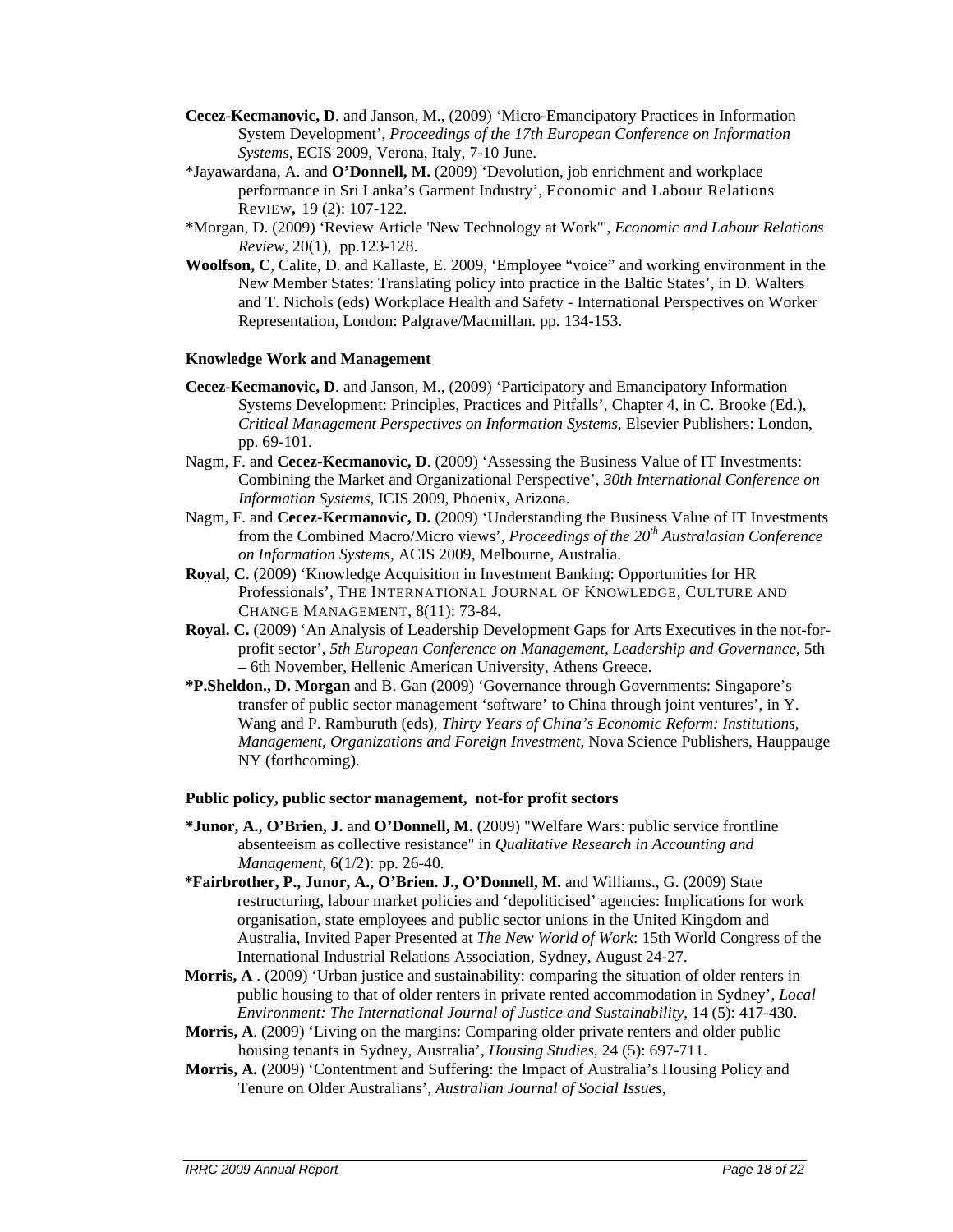- **Cecez-Kecmanovic, D**. and Janson, M., (2009) 'Micro-Emancipatory Practices in Information System Development', *Proceedings of the 17th European Conference on Information Systems*, ECIS 2009, Verona, Italy, 7-10 June.
- \*Jayawardana, A. and **O'Donnell, M.** (2009) 'Devolution, job enrichment and workplace performance in Sri Lanka's Garment Industry', Economic and Labour Relations RevIEw*,* 19 (2): 107-122.
- \*Morgan, D. (2009) 'Review Article 'New Technology at Work'", *Economic and Labour Relations Review*, 20(1), pp.123-128.
- **Woolfson, C**, Calite, D. and Kallaste, E. 2009, 'Employee "voice" and working environment in the New Member States: Translating policy into practice in the Baltic States', in D. Walters and T. Nichols (eds) Workplace Health and Safety - International Perspectives on Worker Representation, London: Palgrave/Macmillan. pp. 134-153.

#### **Knowledge Work and Management**

- **Cecez-Kecmanovic, D**. and Janson, M., (2009) 'Participatory and Emancipatory Information Systems Development: Principles, Practices and Pitfalls', Chapter 4, in C. Brooke (Ed.), *Critical Management Perspectives on Information Systems*, Elsevier Publishers: London, pp. 69-101.
- Nagm, F. and **Cecez-Kecmanovic, D**. (2009) 'Assessing the Business Value of IT Investments: Combining the Market and Organizational Perspective', *30th International Conference on Information Systems*, ICIS 2009, Phoenix, Arizona.
- Nagm, F. and **Cecez-Kecmanovic, D.** (2009) 'Understanding the Business Value of IT Investments from the Combined Macro/Micro views', *Proceedings of the 20th Australasian Conference on Information Systems*, ACIS 2009, Melbourne, Australia.
- **Royal, C**. (2009) 'Knowledge Acquisition in Investment Banking: Opportunities for HR Professionals', THE INTERNATIONAL JOURNAL OF KNOWLEDGE, CULTURE AND CHANGE MANAGEMENT, 8(11): 73-84.
- **Royal. C.** (2009) 'An Analysis of Leadership Development Gaps for Arts Executives in the not-forprofit sector', *5th European Conference on Management, Leadership and Governance*, 5th – 6th November, Hellenic American University, Athens Greece.
- **\*P.Sheldon., D. Morgan** and B. Gan (2009) 'Governance through Governments: Singapore's transfer of public sector management 'software' to China through joint ventures', in Y. Wang and P. Ramburuth (eds), *Thirty Years of China's Economic Reform: Institutions, Management, Organizations and Foreign Investment*, Nova Science Publishers, Hauppauge NY (forthcoming).

#### **Public policy, public sector management, not-for profit sectors**

- **\*Junor, A., O'Brien, J.** and **O'Donnell, M.** (2009) "Welfare Wars: public service frontline absenteeism as collective resistance" in *Qualitative Research in Accounting and Management,* 6(1/2): pp. 26-40.
- **\*Fairbrother, P., Junor, A., O'Brien. J., O'Donnell, M.** and Williams., G. (2009) State restructuring, labour market policies and 'depoliticised' agencies: Implications for work organisation, state employees and public sector unions in the United Kingdom and Australia, Invited Paper Presented at *The New World of Work*: 15th World Congress of the International Industrial Relations Association, Sydney, August 24-27.
- **Morris, A** . (2009) 'Urban justice and sustainability: comparing the situation of older renters in public housing to that of older renters in private rented accommodation in Sydney', *Local Environment: The International Journal of Justice and Sustainability*, 14 (5): 417-430.
- **Morris, A**. (2009) 'Living on the margins: Comparing older private renters and older public housing tenants in Sydney, Australia', *Housing Studies*, 24 (5): 697-711.
- **Morris, A.** (2009) 'Contentment and Suffering: the Impact of Australia's Housing Policy and Tenure on Older Australians', *Australian Journal of Social Issues*,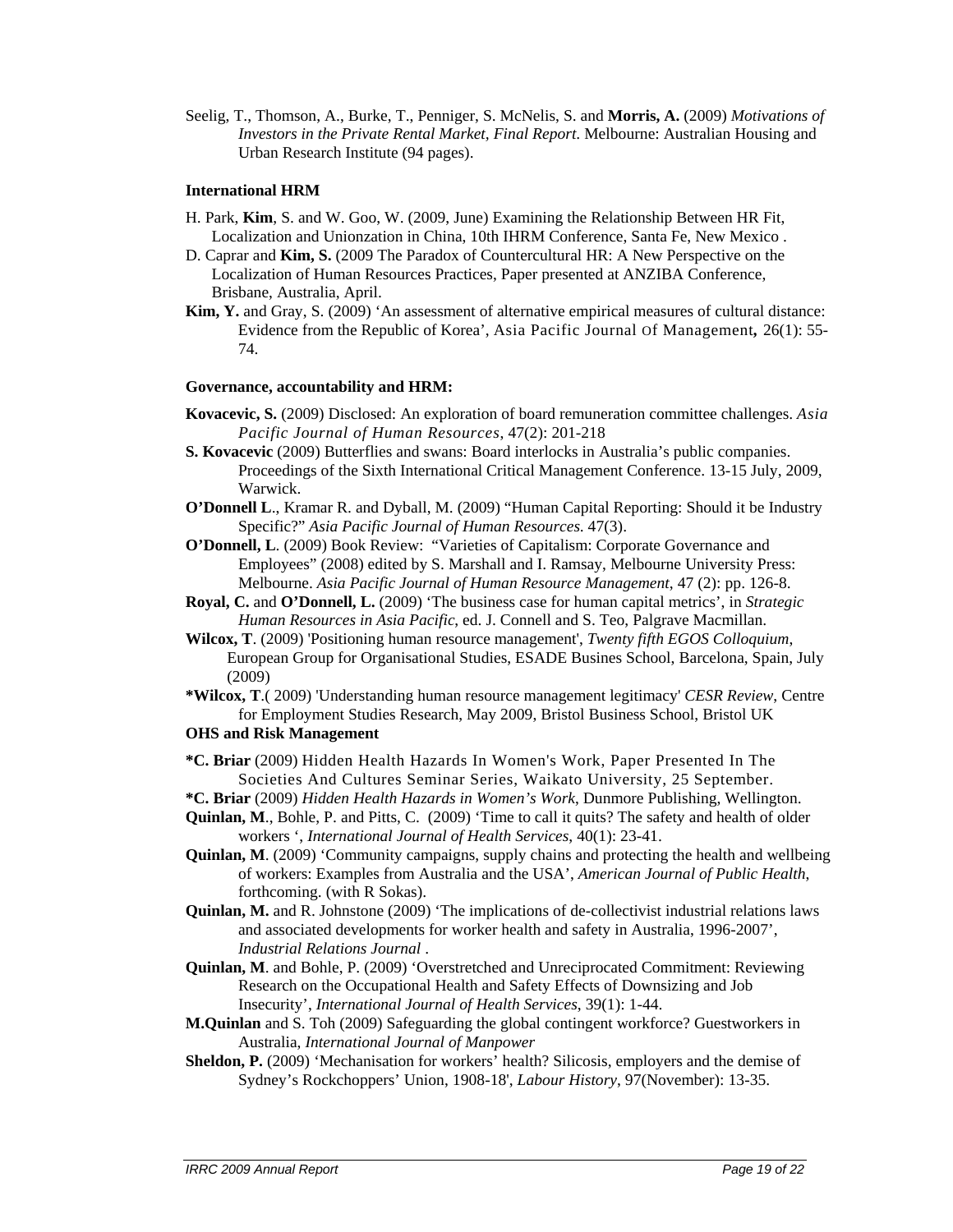Seelig, T., Thomson, A., Burke, T., Penniger, S. McNelis, S. and **Morris, A.** (2009) *Motivations of Investors in the Private Rental Market, Final Report*. Melbourne: Australian Housing and Urban Research Institute (94 pages).

#### **International HRM**

- H. Park, **Kim**, S. and W. Goo, W. (2009, June) Examining the Relationship Between HR Fit, Localization and Unionzation in China, 10th IHRM Conference, Santa Fe, New Mexico .
- D. Caprar and **Kim, S.** (2009 The Paradox of Countercultural HR: A New Perspective on the Localization of Human Resources Practices, Paper presented at ANZIBA Conference, Brisbane, Australia, April.
- **Kim, Y.** and Gray, S. (2009) 'An assessment of alternative empirical measures of cultural distance: Evidence from the Republic of Korea', Asia Pacific Journal Of Management*,* 26(1): 55- 74.

# **Governance, accountability and HRM:**

- **Kovacevic, S.** (2009) Disclosed: An exploration of board remuneration committee challenges. *Asia Pacific Journal of Human Resources*, 47(2): 201-218
- **S. Kovacevic** (2009) Butterflies and swans: Board interlocks in Australia's public companies. Proceedings of the Sixth International Critical Management Conference. 13-15 July, 2009, Warwick.
- **O'Donnell L**., Kramar R. and Dyball, M. (2009) "Human Capital Reporting: Should it be Industry Specific?" *Asia Pacific Journal of Human Resources*. 47(3).
- **O'Donnell, L**. (2009) Book Review: "Varieties of Capitalism: Corporate Governance and Employees" (2008) edited by S. Marshall and I. Ramsay, Melbourne University Press: Melbourne. *Asia Pacific Journal of Human Resource Management*, 47 (2): pp. 126-8.
- **Royal, C.** and **O'Donnell, L.** (2009) 'The business case for human capital metrics', in *Strategic Human Resources in Asia Pacific*, ed. J. Connell and S. Teo, Palgrave Macmillan.
- **Wilcox, T**. (2009) 'Positioning human resource management', *Twenty fifth EGOS Colloquium*, European Group for Organisational Studies, ESADE Busines School, Barcelona, Spain, July (2009)
- **\*Wilcox, T**.( 2009) 'Understanding human resource management legitimacy' *CESR Review*, Centre for Employment Studies Research, May 2009, Bristol Business School, Bristol UK **OHS and Risk Management**
- **\*C. Briar** (2009) Hidden Health Hazards In Women's Work, Paper Presented In The Societies And Cultures Seminar Series, Waikato University, 25 September.
- **\*C. Briar** (2009) *Hidden Health Hazards in Women's Work*, Dunmore Publishing, Wellington.
- **Quinlan, M**., Bohle, P. and Pitts, C. (2009) 'Time to call it quits? The safety and health of older workers ', *International Journal of Health Services*, 40(1): 23-41.
- **Quinlan, M**. (2009) 'Community campaigns, supply chains and protecting the health and wellbeing of workers: Examples from Australia and the USA', *American Journal of Public Health*, forthcoming. (with R Sokas).
- **Quinlan, M.** and R. Johnstone (2009) 'The implications of de-collectivist industrial relations laws and associated developments for worker health and safety in Australia, 1996-2007', *Industrial Relations Journal* .
- **Quinlan, M**. and Bohle, P. (2009) 'Overstretched and Unreciprocated Commitment: Reviewing Research on the Occupational Health and Safety Effects of Downsizing and Job Insecurity', *International Journal of Health Services*, 39(1): 1-44.
- **M.Quinlan** and S. Toh (2009) Safeguarding the global contingent workforce? Guestworkers in Australia, *International Journal of Manpower*
- **Sheldon, P.** (2009) 'Mechanisation for workers' health? Silicosis, employers and the demise of Sydney's Rockchoppers' Union, 1908-18', *Labour History*, 97(November): 13-35.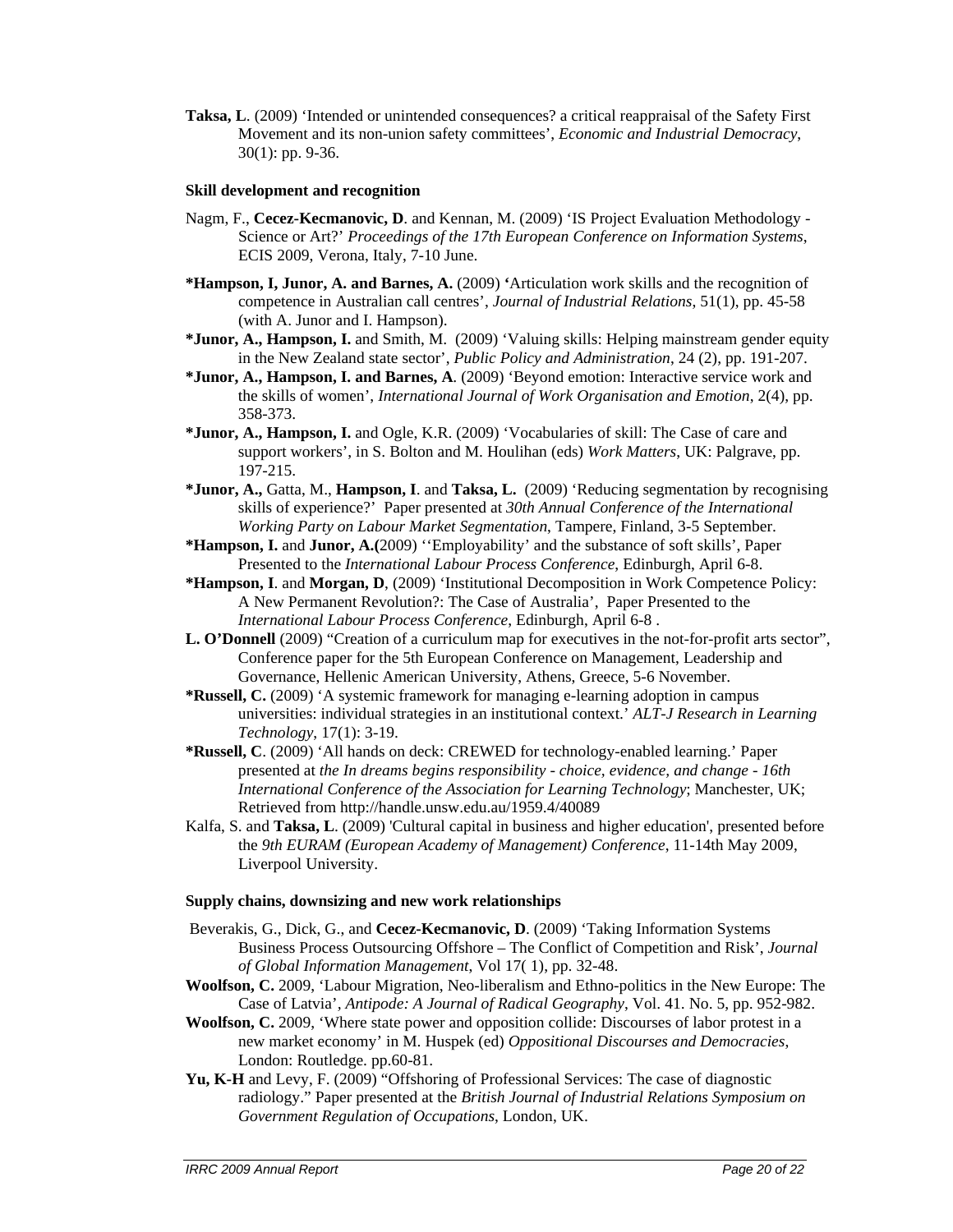**Taksa, L**. (2009) 'Intended or unintended consequences? a critical reappraisal of the Safety First Movement and its non-union safety committees', *Economic and Industrial Democracy*, 30(1): pp. 9-36.

#### **Skill development and recognition**

- Nagm, F., **Cecez-Kecmanovic, D**. and Kennan, M. (2009) 'IS Project Evaluation Methodology Science or Art?' *Proceedings of the 17th European Conference on Information Systems*, ECIS 2009, Verona, Italy, 7-10 June.
- **\*Hampson, I, Junor, A. and Barnes, A.** (2009) **'**Articulation work skills and the recognition of competence in Australian call centres', *Journal of Industrial Relations*, 51(1), pp. 45-58 (with A. Junor and I. Hampson).
- **\*Junor, A., Hampson, I.** and Smith, M. (2009) 'Valuing skills: Helping mainstream gender equity in the New Zealand state sector', *Public Policy and Administration*, 24 (2), pp. 191-207.
- **\*Junor, A., Hampson, I. and Barnes, A**. (2009) 'Beyond emotion: Interactive service work and the skills of women', *International Journal of Work Organisation and Emotion*, 2(4), pp. 358-373.
- **\*Junor, A., Hampson, I.** and Ogle, K.R. (2009) 'Vocabularies of skill: The Case of care and support workers', in S. Bolton and M. Houlihan (eds) *Work Matters*, UK: Palgrave, pp. 197-215.
- **\*Junor, A.,** Gatta, M., **Hampson, I**. and **Taksa, L.** (2009) 'Reducing segmentation by recognising skills of experience?' Paper presented at *30th Annual Conference of the International Working Party on Labour Market Segmentation*, Tampere, Finland, 3-5 September.
- **\*Hampson, I.** and **Junor, A.(**2009) ''Employability' and the substance of soft skills', Paper Presented to the *International Labour Process Conference*, Edinburgh, April 6-8.
- **\*Hampson, I**. and **Morgan, D**, (2009) 'Institutional Decomposition in Work Competence Policy: A New Permanent Revolution?: The Case of Australia', Paper Presented to the *International Labour Process Conference*, Edinburgh, April 6-8 .
- **L. O'Donnell** (2009) "Creation of a curriculum map for executives in the not-for-profit arts sector", Conference paper for the 5th European Conference on Management, Leadership and Governance, Hellenic American University, Athens, Greece, 5-6 November.
- **\*Russell, C.** (2009) 'A systemic framework for managing e-learning adoption in campus universities: individual strategies in an institutional context.' *ALT-J Research in Learning Technology*, 17(1): 3-19.
- **\*Russell, C**. (2009) 'All hands on deck: CREWED for technology-enabled learning.' Paper presented at *the In dreams begins responsibility - choice, evidence, and change - 16th International Conference of the Association for Learning Technology*; Manchester, UK; Retrieved from http://handle.unsw.edu.au/1959.4/40089
- Kalfa, S. and **Taksa, L**. (2009) 'Cultural capital in business and higher education', presented before the *9th EURAM (European Academy of Management) Conference*, 11-14th May 2009, Liverpool University.

#### **Supply chains, downsizing and new work relationships**

- Beverakis, G., Dick, G., and **Cecez-Kecmanovic, D**. (2009) 'Taking Information Systems Business Process Outsourcing Offshore – The Conflict of Competition and Risk', *Journal of Global Information Management*, Vol 17( 1), pp. 32-48.
- **Woolfson, C.** 2009, 'Labour Migration, Neo-liberalism and Ethno-politics in the New Europe: The Case of Latvia'*, Antipode: A Journal of Radical Geography*, Vol. 41. No. 5, pp. 952-982.
- **Woolfson, C.** 2009, 'Where state power and opposition collide: Discourses of labor protest in a new market economy' in M. Huspek (ed) *Oppositional Discourses and Democracies*, London: Routledge. pp.60-81.
- **Yu, K-H** and Levy, F. (2009) "Offshoring of Professional Services: The case of diagnostic radiology." Paper presented at the *British Journal of Industrial Relations Symposium on Government Regulation of Occupations*, London, UK.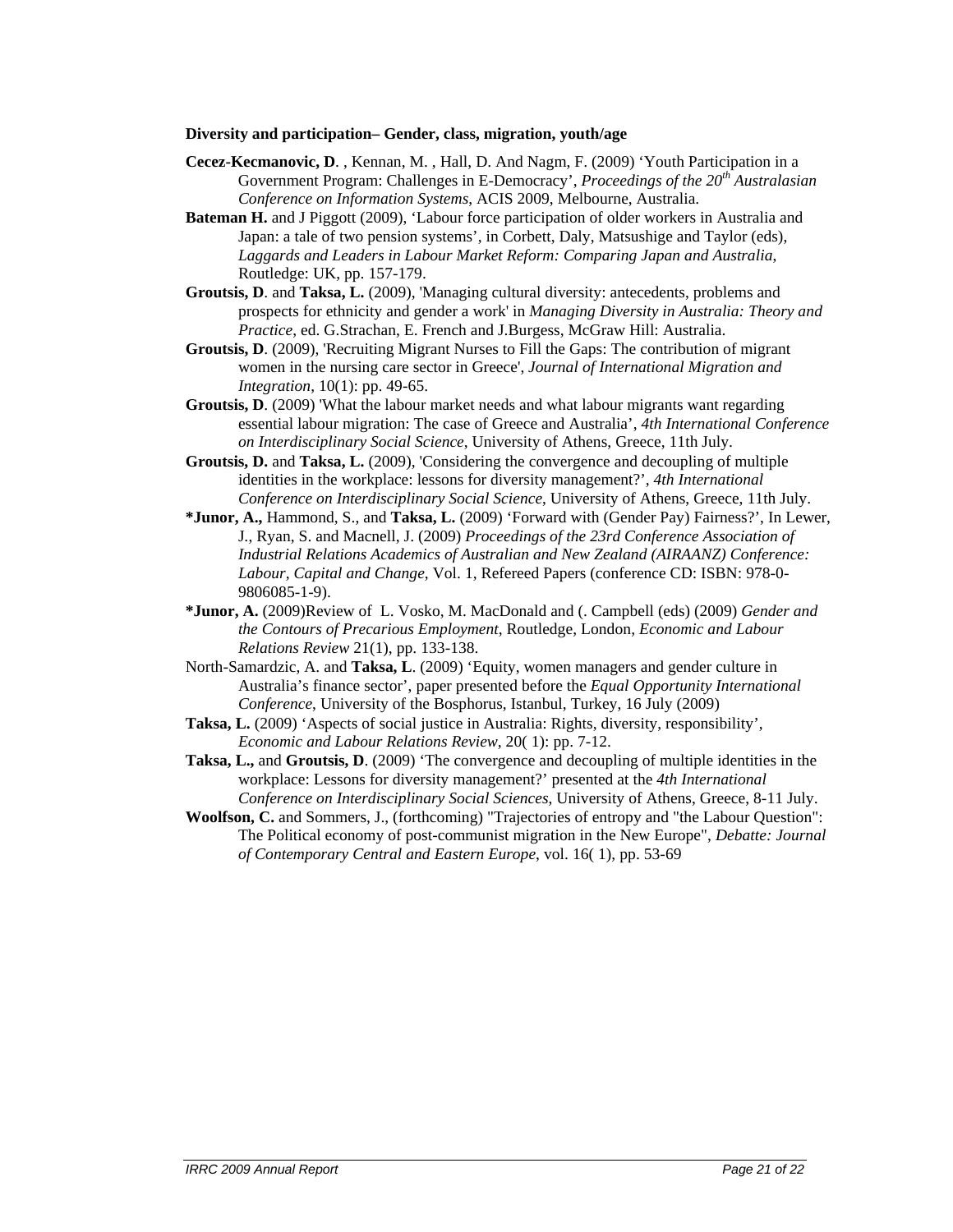#### **Diversity and participation– Gender, class, migration, youth/age**

- **Cecez-Kecmanovic, D**. , Kennan, M. , Hall, D. And Nagm, F. (2009) 'Youth Participation in a Government Program: Challenges in E-Democracy', *Proceedings of the 20th Australasian Conference on Information Systems*, ACIS 2009, Melbourne, Australia.
- **Bateman H.** and J Piggott (2009), 'Labour force participation of older workers in Australia and Japan: a tale of two pension systems', in Corbett, Daly, Matsushige and Taylor (eds), *Laggards and Leaders in Labour Market Reform: Comparing Japan and Australia*, Routledge: UK, pp. 157-179.
- **Groutsis, D**. and **Taksa, L.** (2009), 'Managing cultural diversity: antecedents, problems and prospects for ethnicity and gender a work' in *Managing Diversity in Australia: Theory and Practice*, ed. G.Strachan, E. French and J.Burgess, McGraw Hill: Australia.
- **Groutsis, D**. (2009), 'Recruiting Migrant Nurses to Fill the Gaps: The contribution of migrant women in the nursing care sector in Greece', *Journal of International Migration and Integration*, 10(1): pp. 49-65.
- **Groutsis, D**. (2009) 'What the labour market needs and what labour migrants want regarding essential labour migration: The case of Greece and Australia', *4th International Conference on Interdisciplinary Social Science*, University of Athens, Greece, 11th July.
- **Groutsis, D.** and **Taksa, L.** (2009), 'Considering the convergence and decoupling of multiple identities in the workplace: lessons for diversity management?', *4th International Conference on Interdisciplinary Social Science*, University of Athens, Greece, 11th July.
- **\*Junor, A.,** Hammond, S., and **Taksa, L.** (2009) 'Forward with (Gender Pay) Fairness?', In Lewer, J., Ryan, S. and Macnell, J. (2009) *Proceedings of the 23rd Conference Association of Industrial Relations Academics of Australian and New Zealand (AIRAANZ) Conference: Labour, Capital and Change*, Vol. 1, Refereed Papers (conference CD: ISBN: 978-0- 9806085-1-9).
- **\*Junor, A.** (2009)Review of L. Vosko, M. MacDonald and (. Campbell (eds) (2009) *Gender and the Contours of Precarious Employment*, Routledge, London, *Economic and Labour Relations Review* 21(1), pp. 133-138.
- North-Samardzic, A. and **Taksa, L**. (2009) 'Equity, women managers and gender culture in Australia's finance sector', paper presented before the *Equal Opportunity International Conference*, University of the Bosphorus, Istanbul, Turkey, 16 July (2009)
- **Taksa, L.** (2009) 'Aspects of social justice in Australia: Rights, diversity, responsibility', *Economic and Labour Relations Review*, 20( 1): pp. 7-12.
- **Taksa, L.,** and **Groutsis, D**. (2009) 'The convergence and decoupling of multiple identities in the workplace: Lessons for diversity management?' presented at the *4th International Conference on Interdisciplinary Social Sciences*, University of Athens, Greece, 8-11 July.
- **Woolfson, C.** and Sommers, J., (forthcoming) "Trajectories of entropy and "the Labour Question": The Political economy of post-communist migration in the New Europe", *Debatte: Journal of Contemporary Central and Eastern Europe*, vol. 16( 1), pp. 53-69